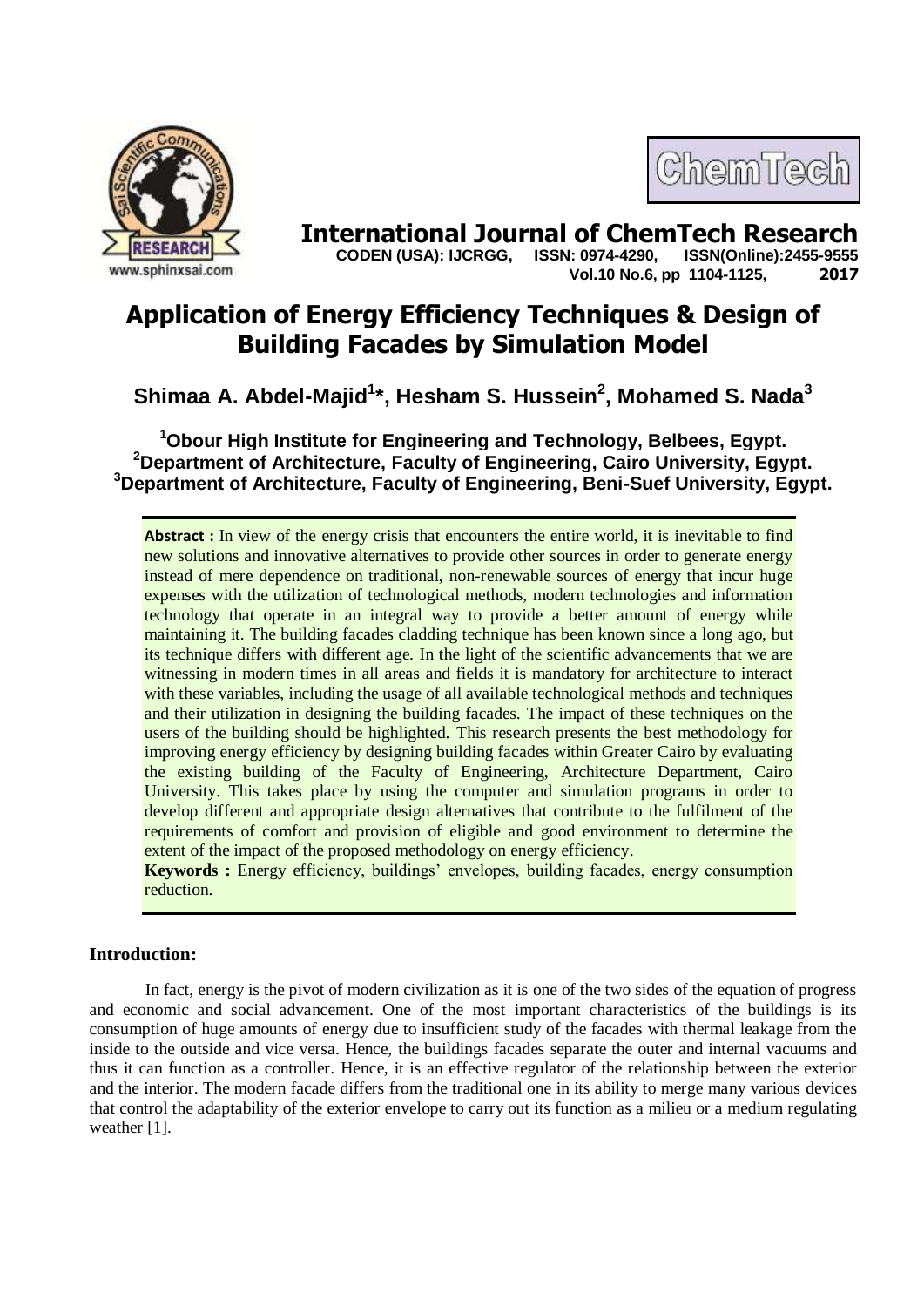



**International Journal of ChemTech Research CODEN (USA): IJCRGG. ISSN: 0974-4290. ISSN(Online):2455-9555 CODEN (USA): IJCRGG, ISSN: 0974-4290, Vol.10 No.6, pp 1104-1125, 2017**

# **Application of Energy Efficiency Techniques & Design of Building Facades by Simulation Model**

## **Shimaa A. Abdel-Majid<sup>1</sup> \*, Hesham S. Hussein<sup>2</sup> , Mohamed S. Nada<sup>3</sup>**

**<sup>1</sup>Obour High Institute for Engineering and Technology, Belbees, Egypt. <sup>2</sup>Department of Architecture, Faculty of Engineering, Cairo University, Egypt. <sup>3</sup>Department of Architecture, Faculty of Engineering, Beni-Suef University, Egypt.**

**Abstract :** In view of the energy crisis that encounters the entire world, it is inevitable to find new solutions and innovative alternatives to provide other sources in order to generate energy instead of mere dependence on traditional, non-renewable sources of energy that incur huge expenses with the utilization of technological methods, modern technologies and information technology that operate in an integral way to provide a better amount of energy while maintaining it. The building facades cladding technique has been known since a long ago, but its technique differs with different age. In the light of the scientific advancements that we are witnessing in modern times in all areas and fields it is mandatory for architecture to interact with these variables, including the usage of all available technological methods and techniques and their utilization in designing the building facades. The impact of these techniques on the users of the building should be highlighted. This research presents the best methodology for improving energy efficiency by designing building facades within Greater Cairo by evaluating the existing building of the Faculty of Engineering, Architecture Department, Cairo University. This takes place by using the computer and simulation programs in order to develop different and appropriate design alternatives that contribute to the fulfilment of the requirements of comfort and provision of eligible and good environment to determine the extent of the impact of the proposed methodology on energy efficiency.

**Keywords :** Energy efficiency, buildings' envelopes, building facades, energy consumption reduction.

## **Introduction:**

In fact, energy is the pivot of modern civilization as it is one of the two sides of the equation of progress and economic and social advancement. One of the most important characteristics of the buildings is its consumption of huge amounts of energy due to insufficient study of the facades with thermal leakage from the inside to the outside and vice versa. Hence, the buildings facades separate the outer and internal vacuums and thus it can function as a controller. Hence, it is an effective regulator of the relationship between the exterior and the interior. The modern facade differs from the traditional one in its ability to merge many various devices that control the adaptability of the exterior envelope to carry out its function as a milieu or a medium regulating weather [1].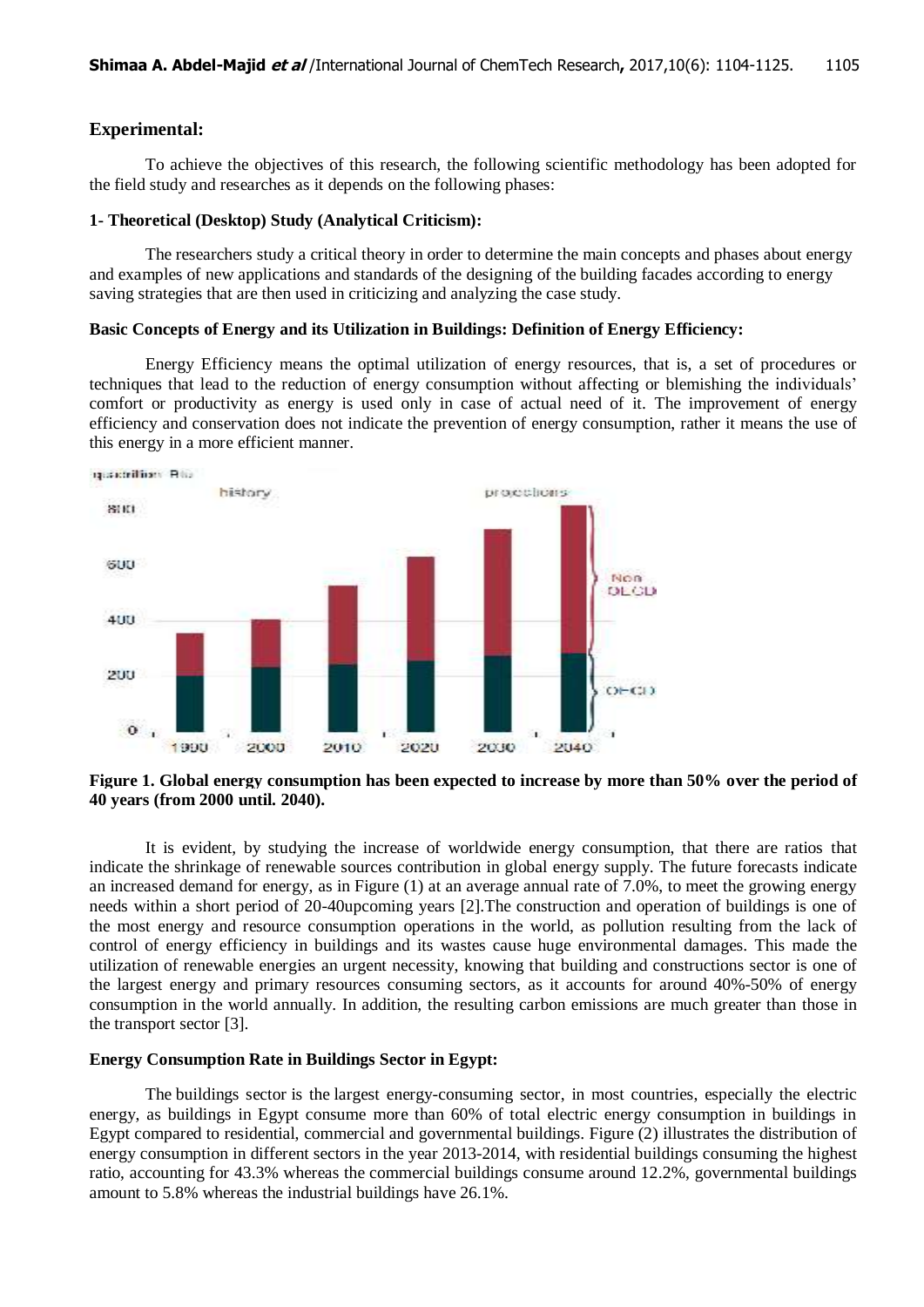## **Experimental:**

To achieve the objectives of this research, the following scientific methodology has been adopted for the field study and researches as it depends on the following phases:

#### **1- Theoretical (Desktop) Study (Analytical Criticism):**

The researchers study a critical theory in order to determine the main concepts and phases about energy and examples of new applications and standards of the designing of the building facades according to energy saving strategies that are then used in criticizing and analyzing the case study.

#### **Basic Concepts of Energy and its Utilization in Buildings: Definition of Energy Efficiency:**

Energy Efficiency means the optimal utilization of energy resources, that is, a set of procedures or techniques that lead to the reduction of energy consumption without affecting or blemishing the individuals' comfort or productivity as energy is used only in case of actual need of it. The improvement of energy efficiency and conservation does not indicate the prevention of energy consumption, rather it means the use of this energy in a more efficient manner.



**Figure 1. Global energy consumption has been expected to increase by more than 50% over the period of 40 years (from 2000 until. 2040).**

It is evident, by studying the increase of worldwide energy consumption, that there are ratios that indicate the shrinkage of renewable sources contribution in global energy supply. The future forecasts indicate an increased demand for energy, as in Figure (1) at an average annual rate of 7.0%, to meet the growing energy needs within a short period of 20-40upcoming years [2].The construction and operation of buildings is one of the most energy and resource consumption operations in the world, as pollution resulting from the lack of control of energy efficiency in buildings and its wastes cause huge environmental damages. This made the utilization of renewable energies an urgent necessity, knowing that building and constructions sector is one of the largest energy and primary resources consuming sectors, as it accounts for around 40%-50% of energy consumption in the world annually. In addition, the resulting carbon emissions are much greater than those in the transport sector [3].

#### **Energy Consumption Rate in Buildings Sector in Egypt:**

The buildings sector is the largest energy-consuming sector, in most countries, especially the electric energy, as buildings in Egypt consume more than 60% of total electric energy consumption in buildings in Egypt compared to residential, commercial and governmental buildings. Figure (2) illustrates the distribution of energy consumption in different sectors in the year 2013-2014, with residential buildings consuming the highest ratio, accounting for 43.3% whereas the commercial buildings consume around 12.2%, governmental buildings amount to 5.8% whereas the industrial buildings have 26.1%.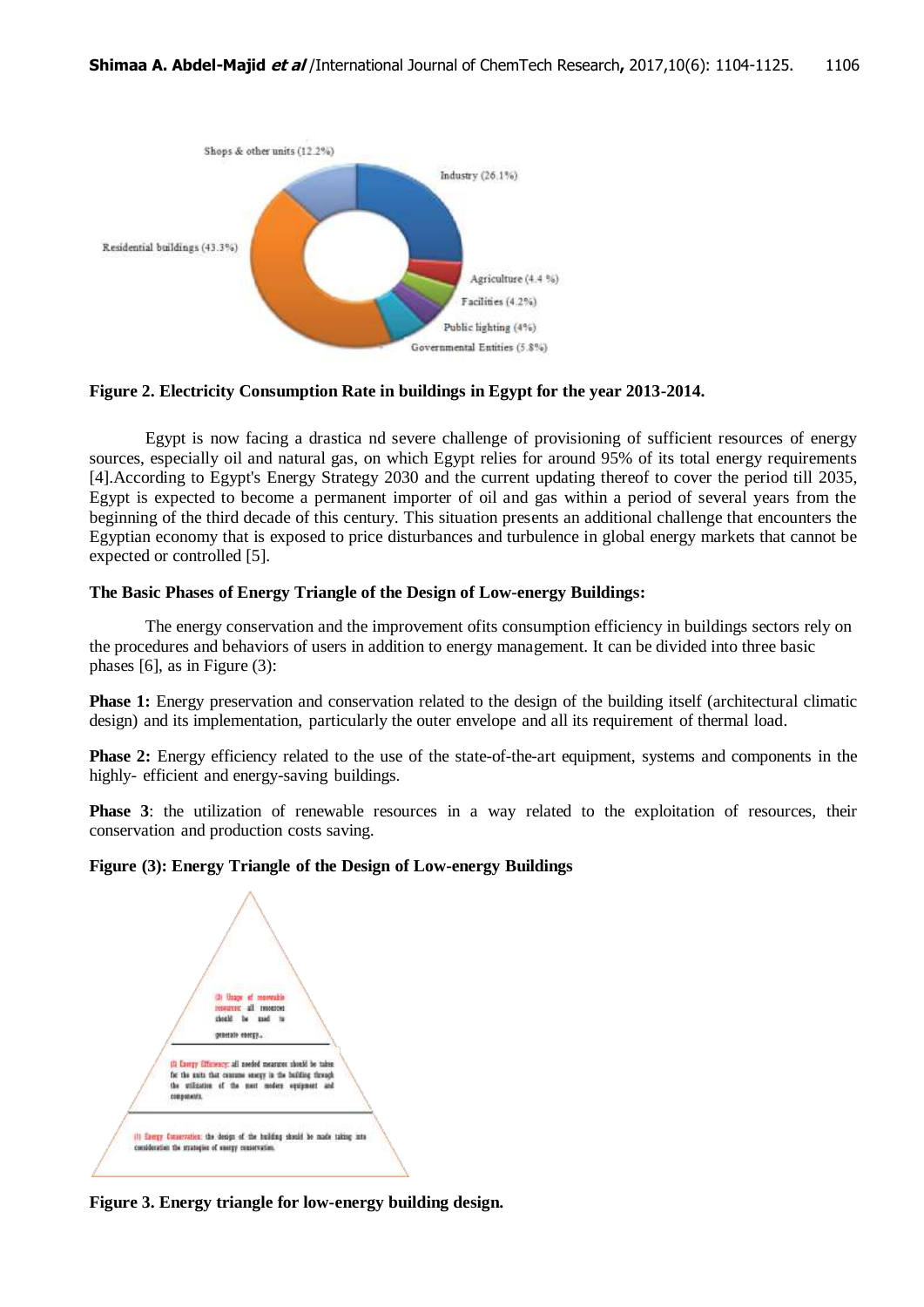



Egypt is now facing a drastica nd severe challenge of provisioning of sufficient resources of energy sources, especially oil and natural gas, on which Egypt relies for around 95% of its total energy requirements [4].According to Egypt's Energy Strategy 2030 and the current updating thereof to cover the period till 2035, Egypt is expected to become a permanent importer of oil and gas within a period of several years from the beginning of the third decade of this century. This situation presents an additional challenge that encounters the Egyptian economy that is exposed to price disturbances and turbulence in global energy markets that cannot be expected or controlled [5].

## **The Basic Phases of Energy Triangle of the Design of Low-energy Buildings:**

The energy conservation and the improvement ofits consumption efficiency in buildings sectors rely on the procedures and behaviors of users in addition to energy management. It can be divided into three basic phases [6], as in Figure (3):

**Phase 1:** Energy preservation and conservation related to the design of the building itself (architectural climatic design) and its implementation, particularly the outer envelope and all its requirement of thermal load.

**Phase 2:** Energy efficiency related to the use of the state-of-the-art equipment, systems and components in the highly- efficient and energy-saving buildings.

**Phase 3**: the utilization of renewable resources in a way related to the exploitation of resources, their conservation and production costs saving.

## **Figure (3): Energy Triangle of the Design of Low-energy Buildings**



**Figure 3. Energy triangle for low-energy building design.**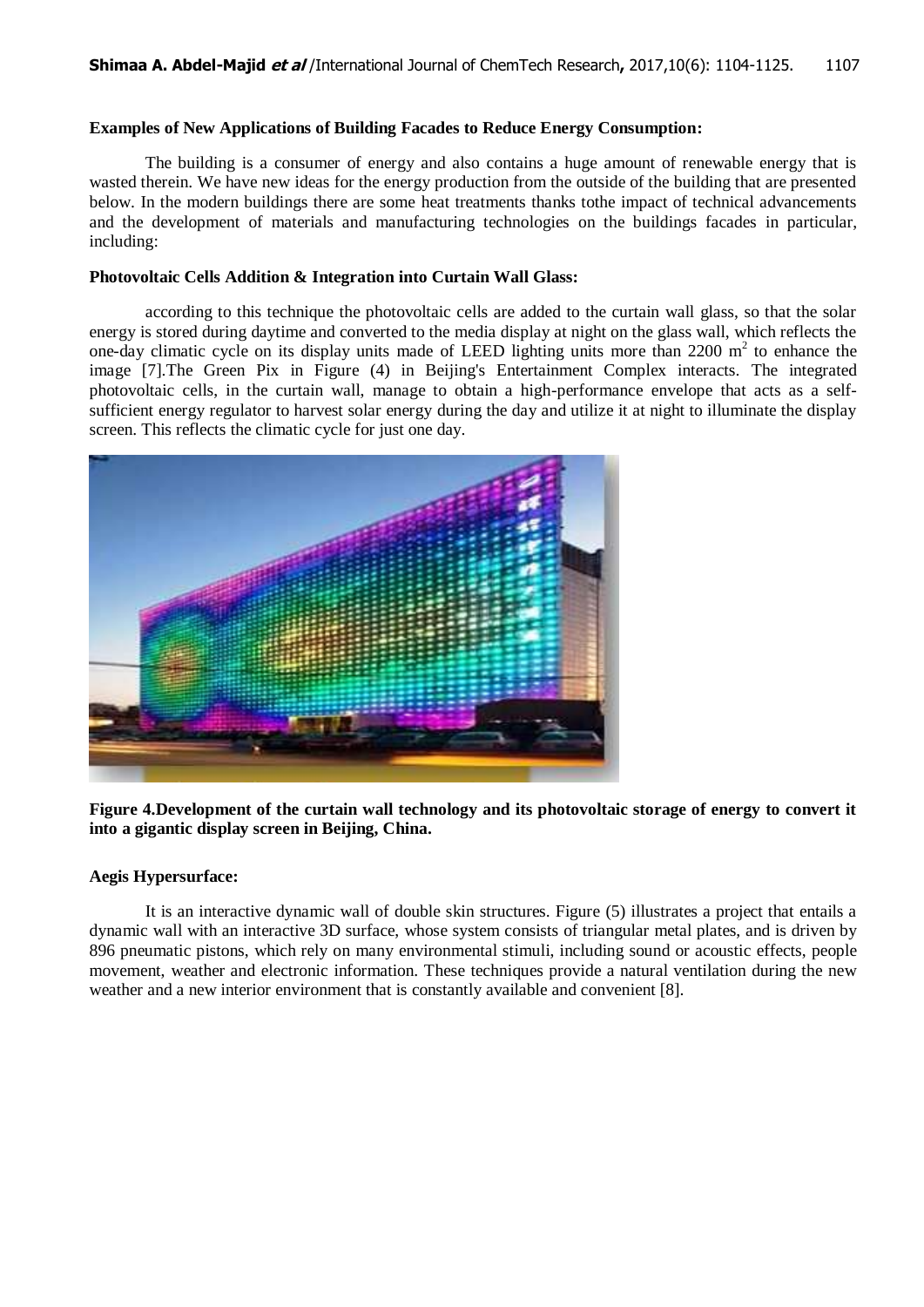#### **Examples of New Applications of Building Facades to Reduce Energy Consumption:**

The building is a consumer of energy and also contains a huge amount of renewable energy that is wasted therein. We have new ideas for the energy production from the outside of the building that are presented below. In the modern buildings there are some heat treatments thanks tothe impact of technical advancements and the development of materials and manufacturing technologies on the buildings facades in particular, including:

#### **Photovoltaic Cells Addition & Integration into Curtain Wall Glass:**

according to this technique the photovoltaic cells are added to the curtain wall glass, so that the solar energy is stored during daytime and converted to the media display at night on the glass wall, which reflects the one-day climatic cycle on its display units made of LEED lighting units more than  $2200 \text{ m}^2$  to enhance the image [7].The Green Pix in Figure (4) in Beijing's Entertainment Complex interacts. The integrated photovoltaic cells, in the curtain wall, manage to obtain a high-performance envelope that acts as a selfsufficient energy regulator to harvest solar energy during the day and utilize it at night to illuminate the display screen. This reflects the climatic cycle for just one day.



**Figure 4.Development of the curtain wall technology and its photovoltaic storage of energy to convert it into a gigantic display screen in Beijing, China.**

## **Aegis Hypersurface:**

It is an interactive dynamic wall of double skin structures. Figure (5) illustrates a project that entails a dynamic wall with an interactive 3D surface, whose system consists of triangular metal plates, and is driven by 896 pneumatic pistons, which rely on many environmental stimuli, including sound or acoustic effects, people movement, weather and electronic information. These techniques provide a natural ventilation during the new weather and a new interior environment that is constantly available and convenient [8].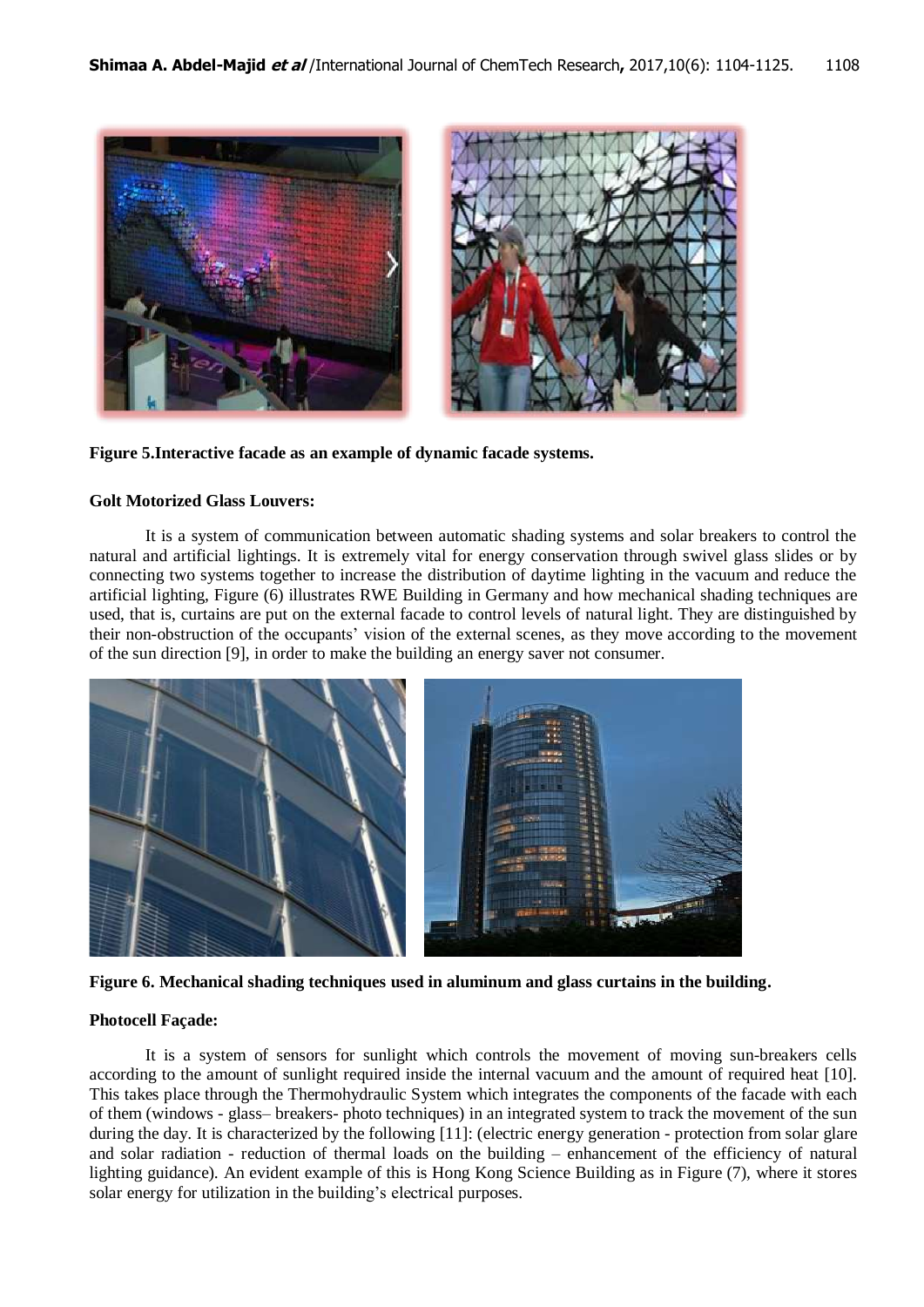

#### **Figure 5.Interactive facade as an example of dynamic facade systems.**

#### **Golt Motorized Glass Louvers:**

It is a system of communication between automatic shading systems and solar breakers to control the natural and artificial lightings. It is extremely vital for energy conservation through swivel glass slides or by connecting two systems together to increase the distribution of daytime lighting in the vacuum and reduce the artificial lighting, Figure (6) illustrates RWE Building in Germany and how mechanical shading techniques are used, that is, curtains are put on the external facade to control levels of natural light. They are distinguished by their non-obstruction of the occupants' vision of the external scenes, as they move according to the movement of the sun direction [9], in order to make the building an energy saver not consumer.



**Figure 6. Mechanical shading techniques used in aluminum and glass curtains in the building.**

## **Photocell Façade:**

It is a system of sensors for sunlight which controls the movement of moving sun-breakers cells according to the amount of sunlight required inside the internal vacuum and the amount of required heat [10]. This takes place through the Thermohydraulic System which integrates the components of the facade with each of them (windows - glass– breakers- photo techniques) in an integrated system to track the movement of the sun during the day. It is characterized by the following [11]: (electric energy generation - protection from solar glare and solar radiation - reduction of thermal loads on the building – enhancement of the efficiency of natural lighting guidance). An evident example of this is Hong Kong Science Building as in Figure (7), where it stores solar energy for utilization in the building's electrical purposes.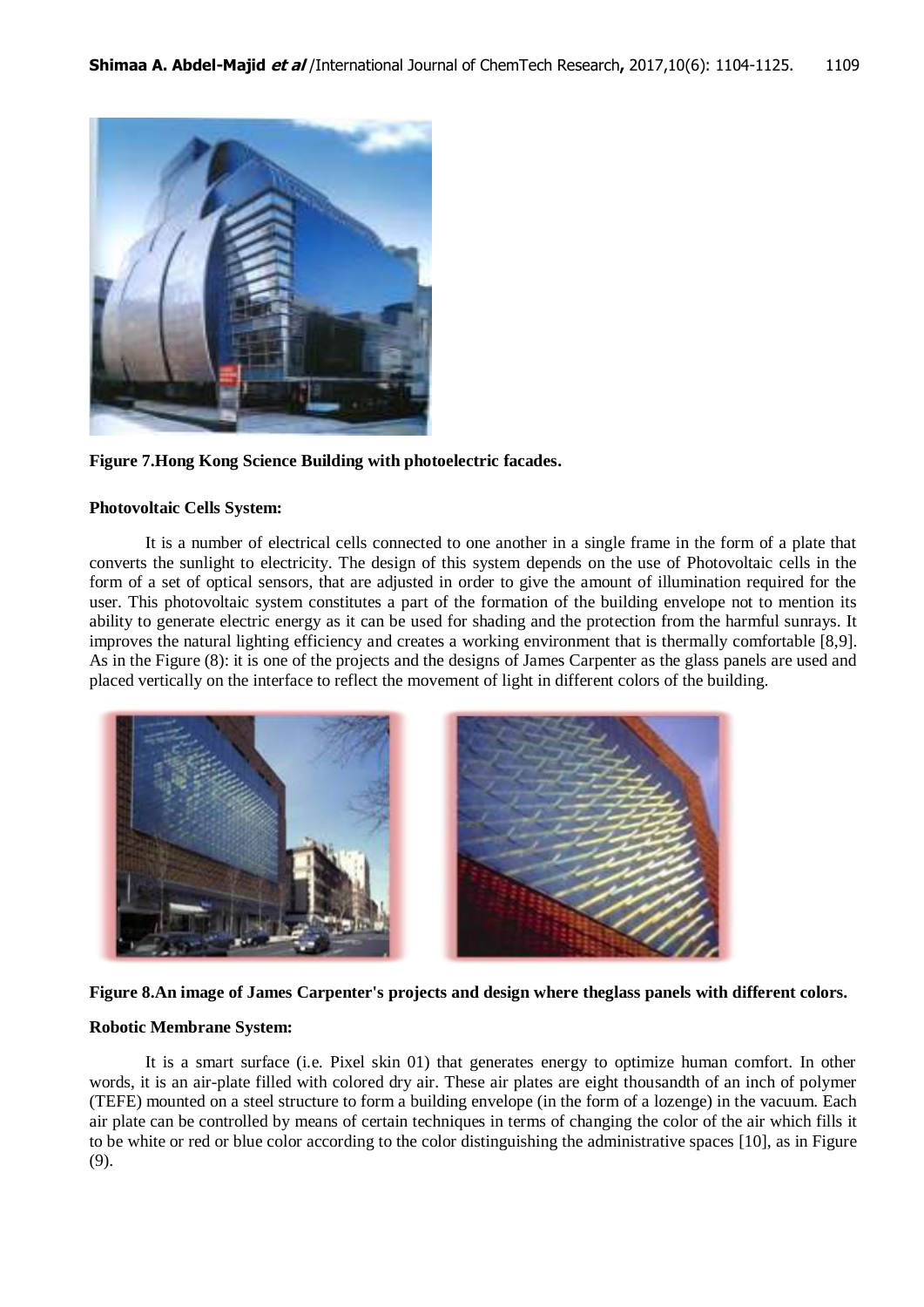

#### **Figure 7.Hong Kong Science Building with photoelectric facades.**

#### **Photovoltaic Cells System:**

It is a number of electrical cells connected to one another in a single frame in the form of a plate that converts the sunlight to electricity. The design of this system depends on the use of Photovoltaic cells in the form of a set of optical sensors, that are adjusted in order to give the amount of illumination required for the user. This photovoltaic system constitutes a part of the formation of the building envelope not to mention its ability to generate electric energy as it can be used for shading and the protection from the harmful sunrays. It improves the natural lighting efficiency and creates a working environment that is thermally comfortable [8,9]. As in the Figure (8): it is one of the projects and the designs of James Carpenter as the glass panels are used and placed vertically on the interface to reflect the movement of light in different colors of the building.



## **Figure 8.An image of James Carpenter's projects and design where theglass panels with different colors.**

#### **Robotic Membrane System:**

It is a smart surface (i.e. Pixel skin 01) that generates energy to optimize human comfort. In other words, it is an air-plate filled with colored dry air. These air plates are eight thousandth of an inch of polymer (TEFE) mounted on a steel structure to form a building envelope (in the form of a lozenge) in the vacuum. Each air plate can be controlled by means of certain techniques in terms of changing the color of the air which fills it to be white or red or blue color according to the color distinguishing the administrative spaces [10], as in Figure (9).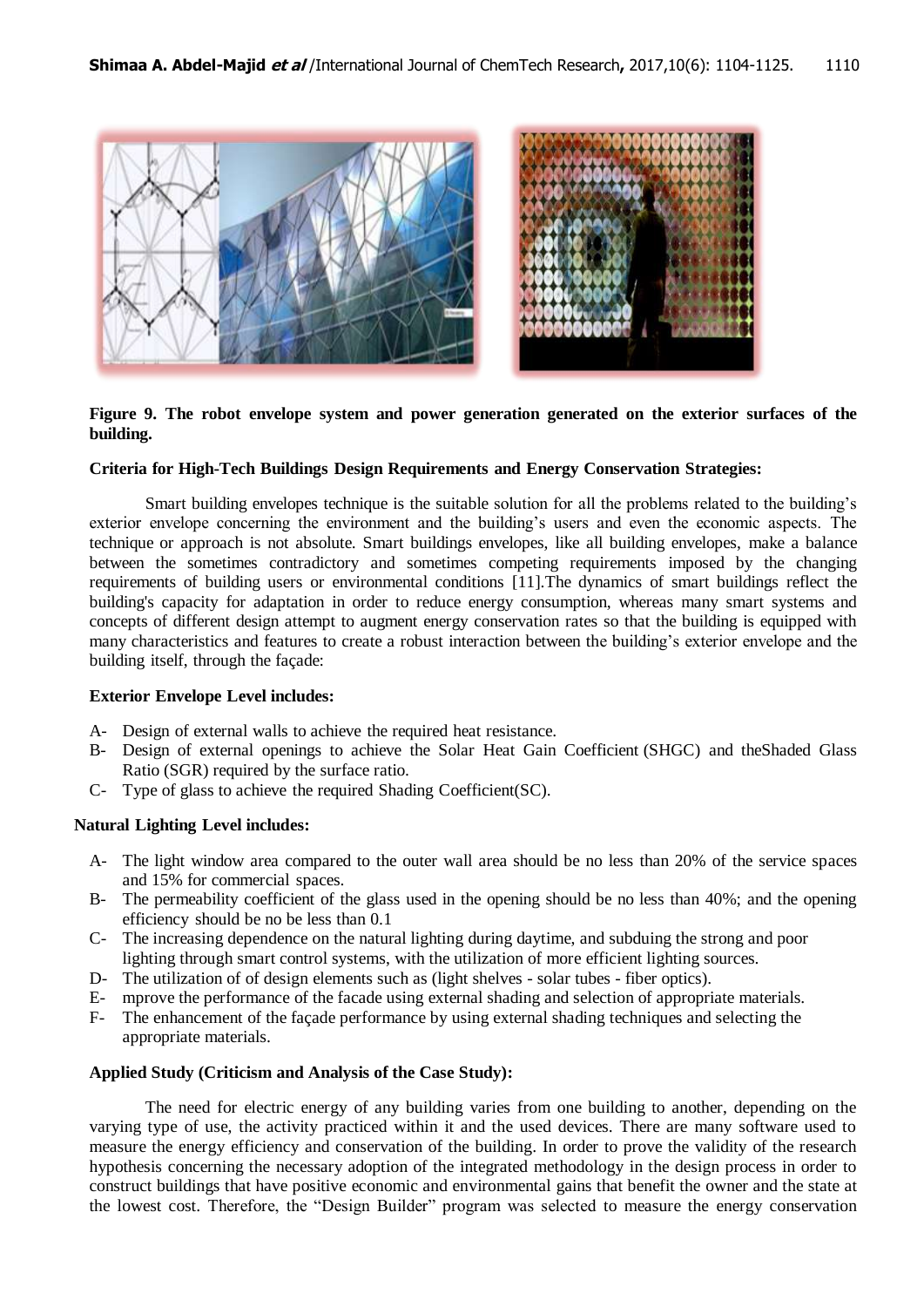

## **Figure 9. The robot envelope system and power generation generated on the exterior surfaces of the building.**

#### **Criteria for High-Tech Buildings Design Requirements and Energy Conservation Strategies:**

Smart building envelopes technique is the suitable solution for all the problems related to the building's exterior envelope concerning the environment and the building's users and even the economic aspects. The technique or approach is not absolute. Smart buildings envelopes, like all building envelopes, make a balance between the sometimes contradictory and sometimes competing requirements imposed by the changing requirements of building users or environmental conditions [11].The dynamics of smart buildings reflect the building's capacity for adaptation in order to reduce energy consumption, whereas many smart systems and concepts of different design attempt to augment energy conservation rates so that the building is equipped with many characteristics and features to create a robust interaction between the building's exterior envelope and the building itself, through the façade:

#### **Exterior Envelope Level includes:**

- A- Design of external walls to achieve the required heat resistance.
- B- Design of external openings to achieve the Solar Heat Gain Coefficient (SHGC) and theShaded Glass Ratio (SGR) required by the surface ratio.
- C- Type of glass to achieve the required Shading Coefficient(SC).

## **Natural Lighting Level includes:**

- A- The light window area compared to the outer wall area should be no less than 20% of the service spaces and 15% for commercial spaces.
- B- The permeability coefficient of the glass used in the opening should be no less than 40%; and the opening efficiency should be no be less than 0.1
- C- The increasing dependence on the natural lighting during daytime, and subduing the strong and poor lighting through smart control systems, with the utilization of more efficient lighting sources.
- D- The utilization of of design elements such as (light shelves solar tubes fiber optics).
- E- mprove the performance of the facade using external shading and selection of appropriate materials.
- F- The enhancement of the façade performance by using external shading techniques and selecting the appropriate materials.

#### **Applied Study (Criticism and Analysis of the Case Study):**

The need for electric energy of any building varies from one building to another, depending on the varying type of use, the activity practiced within it and the used devices. There are many software used to measure the energy efficiency and conservation of the building. In order to prove the validity of the research hypothesis concerning the necessary adoption of the integrated methodology in the design process in order to construct buildings that have positive economic and environmental gains that benefit the owner and the state at the lowest cost. Therefore, the "Design Builder" program was selected to measure the energy conservation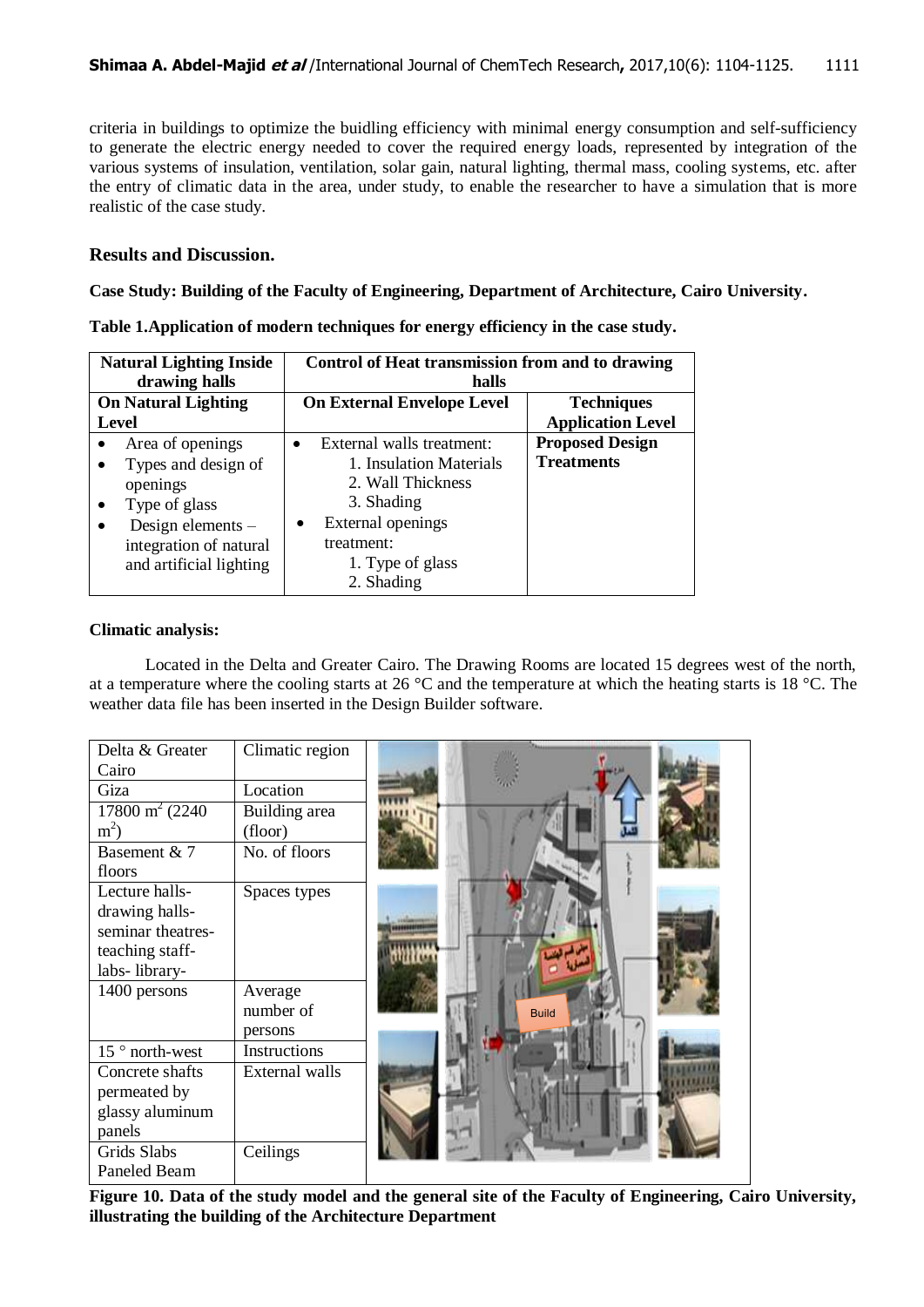criteria in buildings to optimize the buidling efficiency with minimal energy consumption and self-sufficiency to generate the electric energy needed to cover the required energy loads, represented by integration of the various systems of insulation, ventilation, solar gain, natural lighting, thermal mass, cooling systems, etc. after the entry of climatic data in the area, under study, to enable the researcher to have a simulation that is more realistic of the case study.

## **Results and Discussion.**

**Case Study: Building of the Faculty of Engineering, Department of Architecture, Cairo University.**

| <b>Natural Lighting Inside</b><br>drawing halls                                                                                                                                                    | Control of Heat transmission from and to drawing<br>halls                                                                                                                              |                                               |  |  |  |
|----------------------------------------------------------------------------------------------------------------------------------------------------------------------------------------------------|----------------------------------------------------------------------------------------------------------------------------------------------------------------------------------------|-----------------------------------------------|--|--|--|
| <b>On Natural Lighting</b><br><b>Level</b>                                                                                                                                                         | <b>On External Envelope Level</b>                                                                                                                                                      | <b>Techniques</b><br><b>Application Level</b> |  |  |  |
| Area of openings<br>$\bullet$<br>Types and design of<br>$\bullet$<br>openings<br>Type of glass<br>$\bullet$<br>Design elements -<br>$\bullet$<br>integration of natural<br>and artificial lighting | External walls treatment:<br>$\bullet$<br>1. Insulation Materials<br>2. Wall Thickness<br>3. Shading<br>External openings<br>$\bullet$<br>treatment:<br>1. Type of glass<br>2. Shading | <b>Proposed Design</b><br><b>Treatments</b>   |  |  |  |

| Table 1. Application of modern techniques for energy efficiency in the case study. |  |  |  |
|------------------------------------------------------------------------------------|--|--|--|
|                                                                                    |  |  |  |
|                                                                                    |  |  |  |
|                                                                                    |  |  |  |

## **Climatic analysis:**

Located in the Delta and Greater Cairo. The Drawing Rooms are located 15 degrees west of the north, at a temperature where the cooling starts at 26 °C and the temperature at which the heating starts is 18 °C. The weather data file has been inserted in the Design Builder software.

| Delta & Greater           | Climatic region |              |
|---------------------------|-----------------|--------------|
| Cairo                     |                 |              |
| Giza                      | Location        |              |
| $17800 \text{ m}^2 (2240$ | Building area   |              |
| $m2$ )                    | (floor)         |              |
| Basement & 7              | No. of floors   |              |
| floors                    |                 |              |
| Lecture halls-            | Spaces types    |              |
| drawing halls-            |                 |              |
| seminar theatres-         |                 |              |
| teaching staff-           |                 |              |
| labs-library-             |                 |              |
| 1400 persons              | Average         |              |
|                           | number of       | <b>Build</b> |
|                           | persons         |              |
| 15° north-west            | Instructions    |              |
| Concrete shafts           | External walls  |              |
| permeated by              |                 |              |
| glassy aluminum           |                 |              |
| panels                    |                 |              |
| Grids Slabs               | Ceilings        |              |
| Paneled Beam              |                 |              |

Figure 10. Data of the study model and the general site of the Faculty of Engineering, Cairo University, **illustrating the building of the Architecture Department**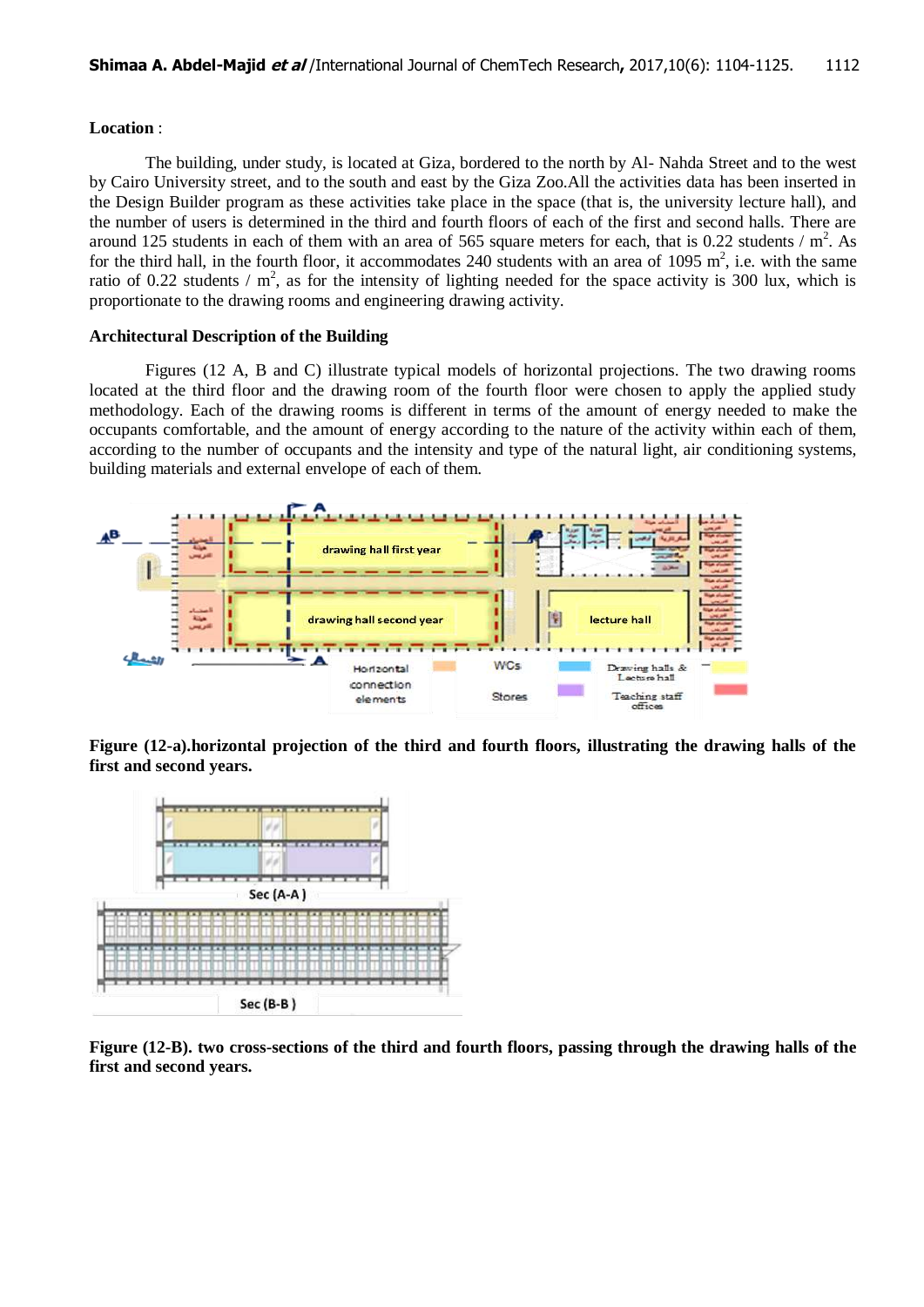## **Location** :

The building, under study, is located at Giza, bordered to the north by Al- Nahda Street and to the west by Cairo University street, and to the south and east by the Giza Zoo.All the activities data has been inserted in the Design Builder program as these activities take place in the space (that is, the university lecture hall), and the number of users is determined in the third and fourth floors of each of the first and second halls. There are around 125 students in each of them with an area of 565 square meters for each, that is 0.22 students  $/m<sup>2</sup>$ . As for the third hall, in the fourth floor, it accommodates 240 students with an area of 1095  $m^2$ , i.e. with the same ratio of 0.22 students /  $m^2$ , as for the intensity of lighting needed for the space activity is 300 lux, which is proportionate to the drawing rooms and engineering drawing activity.

#### **Architectural Description of the Building**

Figures (12 A, B and C) illustrate typical models of horizontal projections. The two drawing rooms located at the third floor and the drawing room of the fourth floor were chosen to apply the applied study methodology. Each of the drawing rooms is different in terms of the amount of energy needed to make the occupants comfortable, and the amount of energy according to the nature of the activity within each of them, according to the number of occupants and the intensity and type of the natural light, air conditioning systems, building materials and external envelope of each of them.



**Figure (12-a).horizontal projection of the third and fourth floors, illustrating the drawing halls of the first and second years.**



**Figure (12-B). two cross-sections of the third and fourth floors, passing through the drawing halls of the first and second years.**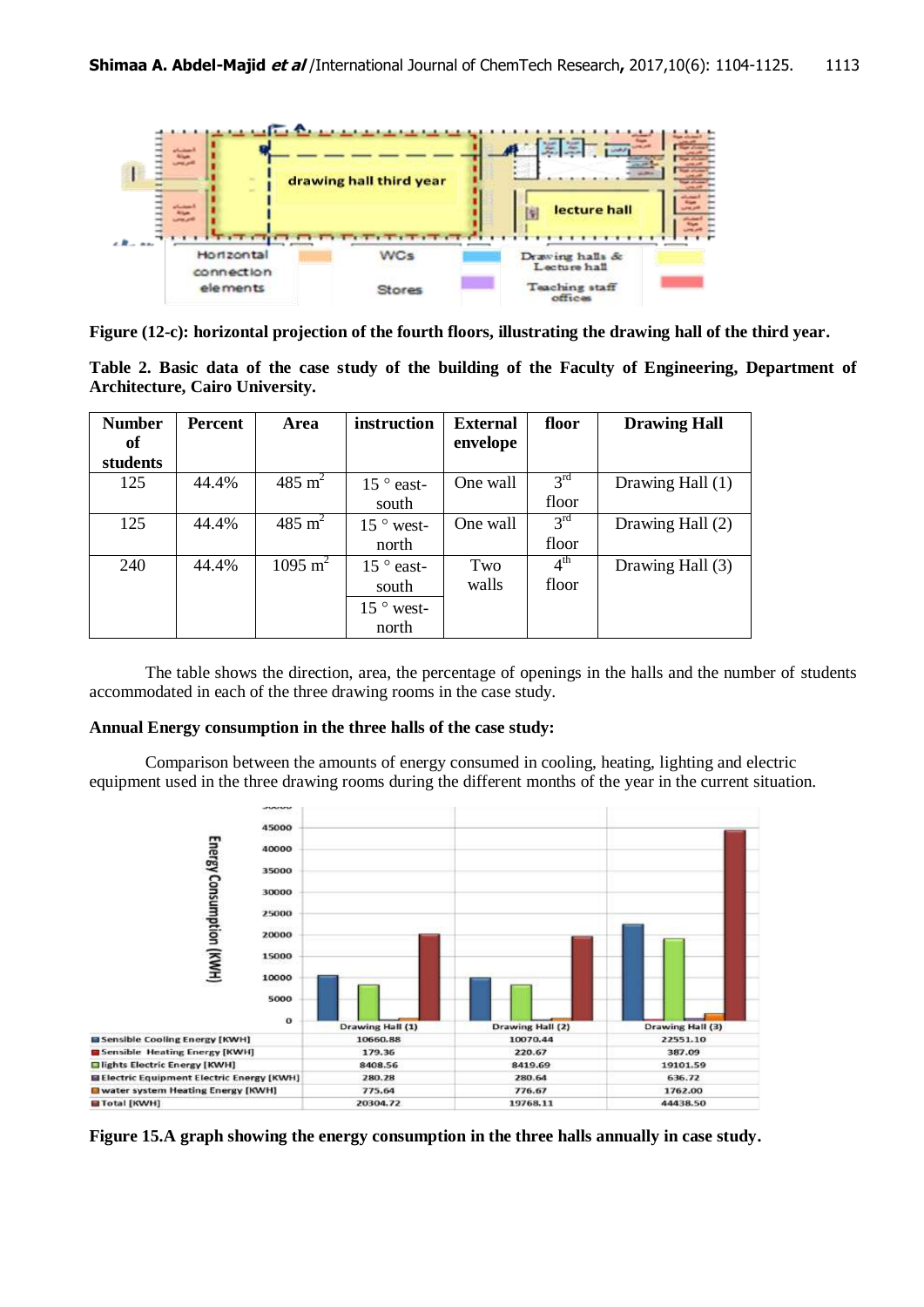

**Figure (12-c): horizontal projection of the fourth floors, illustrating the drawing hall of the third year.**

**Table 2. Basic data of the case study of the building of the Faculty of Engineering, Department of Architecture, Cairo University.**

| <b>Number</b> | <b>Percent</b> | Area               | instruction           | <b>External</b> | floor                      | <b>Drawing Hall</b> |
|---------------|----------------|--------------------|-----------------------|-----------------|----------------------------|---------------------|
| of            |                |                    |                       | envelope        |                            |                     |
| students      |                |                    |                       |                 |                            |                     |
| 125           | 44.4%          | 485 m <sup>2</sup> | $15$ $^{\circ}$ east- | One wall        | 3 <sup>rd</sup>            | Drawing Hall (1)    |
|               |                |                    | south                 |                 | floor                      |                     |
| 125           | 44.4%          | 485 m <sup>2</sup> | $15 \degree$ west-    | One wall        | 3 <sup>rd</sup>            | Drawing Hall (2)    |
|               |                |                    | north                 |                 | floor                      |                     |
| 240           | 44.4%          | $1095 \text{ m}^2$ | $15 \degree$ east-    | Two             | $\overline{4}^{\text{th}}$ | Drawing Hall (3)    |
|               |                |                    | south                 | walls           | floor                      |                     |
|               |                |                    | $15 \degree$ west-    |                 |                            |                     |
|               |                |                    | north                 |                 |                            |                     |

The table shows the direction, area, the percentage of openings in the halls and the number of students accommodated in each of the three drawing rooms in the case study.

## **Annual Energy consumption in the three halls of the case study:**

Comparison between the amounts of energy consumed in cooling, heating, lighting and electric equipment used in the three drawing rooms during the different months of the year in the current situation.



**Figure 15.A graph showing the energy consumption in the three halls annually in case study.**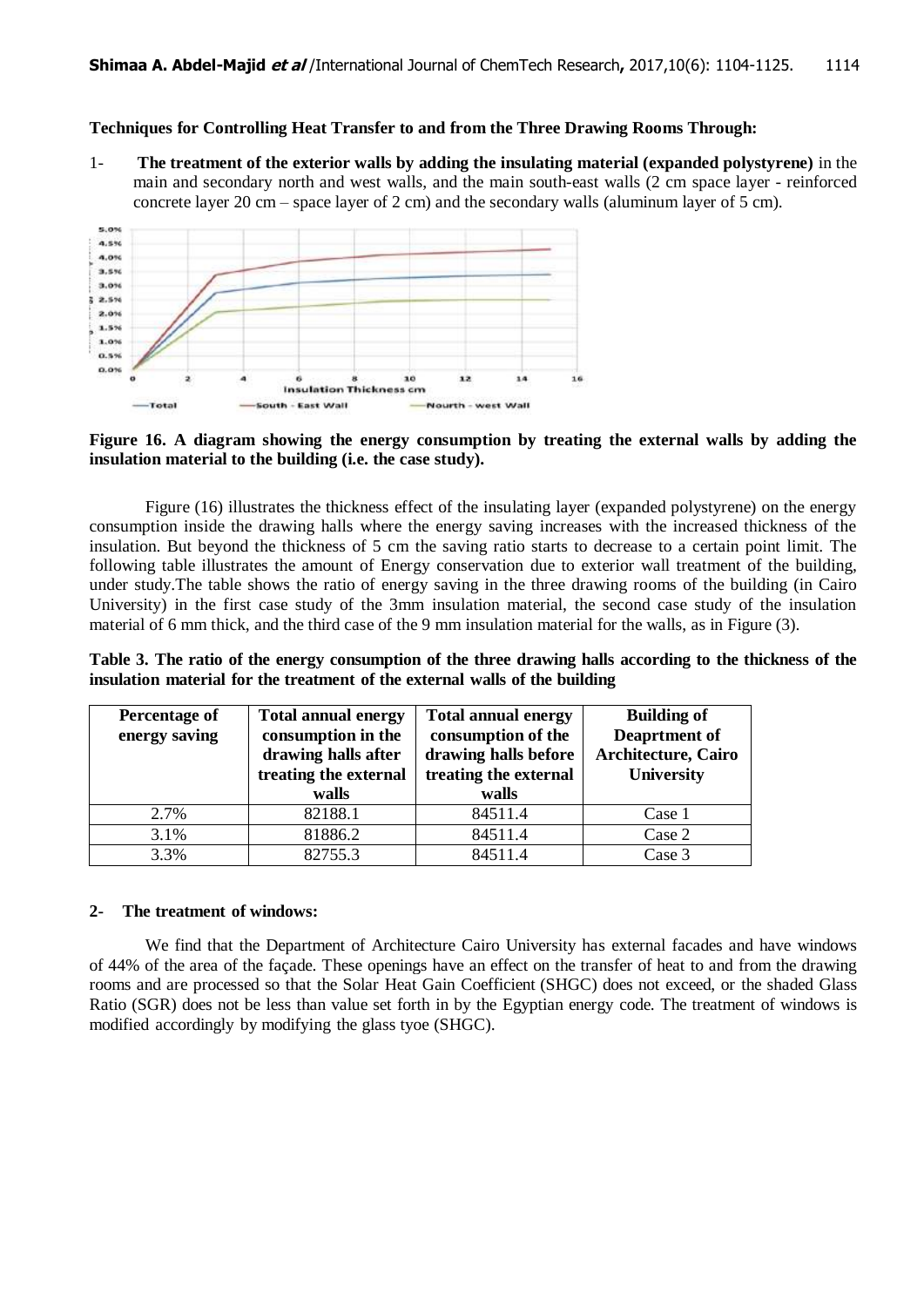#### **Techniques for Controlling Heat Transfer to and from the Three Drawing Rooms Through:**

1- **The treatment of the exterior walls by adding the insulating material (expanded polystyrene)** in the main and secondary north and west walls, and the main south-east walls (2 cm space layer - reinforced concrete layer 20 cm – space layer of 2 cm) and the secondary walls (aluminum layer of 5 cm).



#### **Figure 16. A diagram showing the energy consumption by treating the external walls by adding the insulation material to the building (i.e. the case study).**

Figure (16) illustrates the thickness effect of the insulating layer (expanded polystyrene) on the energy consumption inside the drawing halls where the energy saving increases with the increased thickness of the insulation. But beyond the thickness of 5 cm the saving ratio starts to decrease to a certain point limit. The following table illustrates the amount of Energy conservation due to exterior wall treatment of the building, under study.The table shows the ratio of energy saving in the three drawing rooms of the building (in Cairo University) in the first case study of the 3mm insulation material, the second case study of the insulation material of 6 mm thick, and the third case of the 9 mm insulation material for the walls, as in Figure (3).

**Table 3. The ratio of the energy consumption of the three drawing halls according to the thickness of the insulation material for the treatment of the external walls of the building**

| Percentage of<br>energy saving | <b>Total annual energy</b><br>consumption in the<br>drawing halls after<br>treating the external<br>walls | <b>Total annual energy</b><br>consumption of the<br>drawing halls before<br>treating the external<br>walls | <b>Building of</b><br>Deaprtment of<br><b>Architecture, Cairo</b><br><b>University</b> |  |
|--------------------------------|-----------------------------------------------------------------------------------------------------------|------------------------------------------------------------------------------------------------------------|----------------------------------------------------------------------------------------|--|
| 2.7%                           | 82188.1                                                                                                   | 84511.4                                                                                                    | Case 1                                                                                 |  |
| 3.1%                           | 81886.2                                                                                                   | 84511.4                                                                                                    | Case 2                                                                                 |  |
| 3.3%                           | 82755.3                                                                                                   | 84511.4                                                                                                    | Case 3                                                                                 |  |

#### **2- The treatment of windows:**

We find that the Department of Architecture Cairo University has external facades and have windows of 44% of the area of the façade. These openings have an effect on the transfer of heat to and from the drawing rooms and are processed so that the Solar Heat Gain Coefficient (SHGC) does not exceed, or the shaded Glass Ratio (SGR) does not be less than value set forth in by the Egyptian energy code. The treatment of windows is modified accordingly by modifying the glass tyoe (SHGC).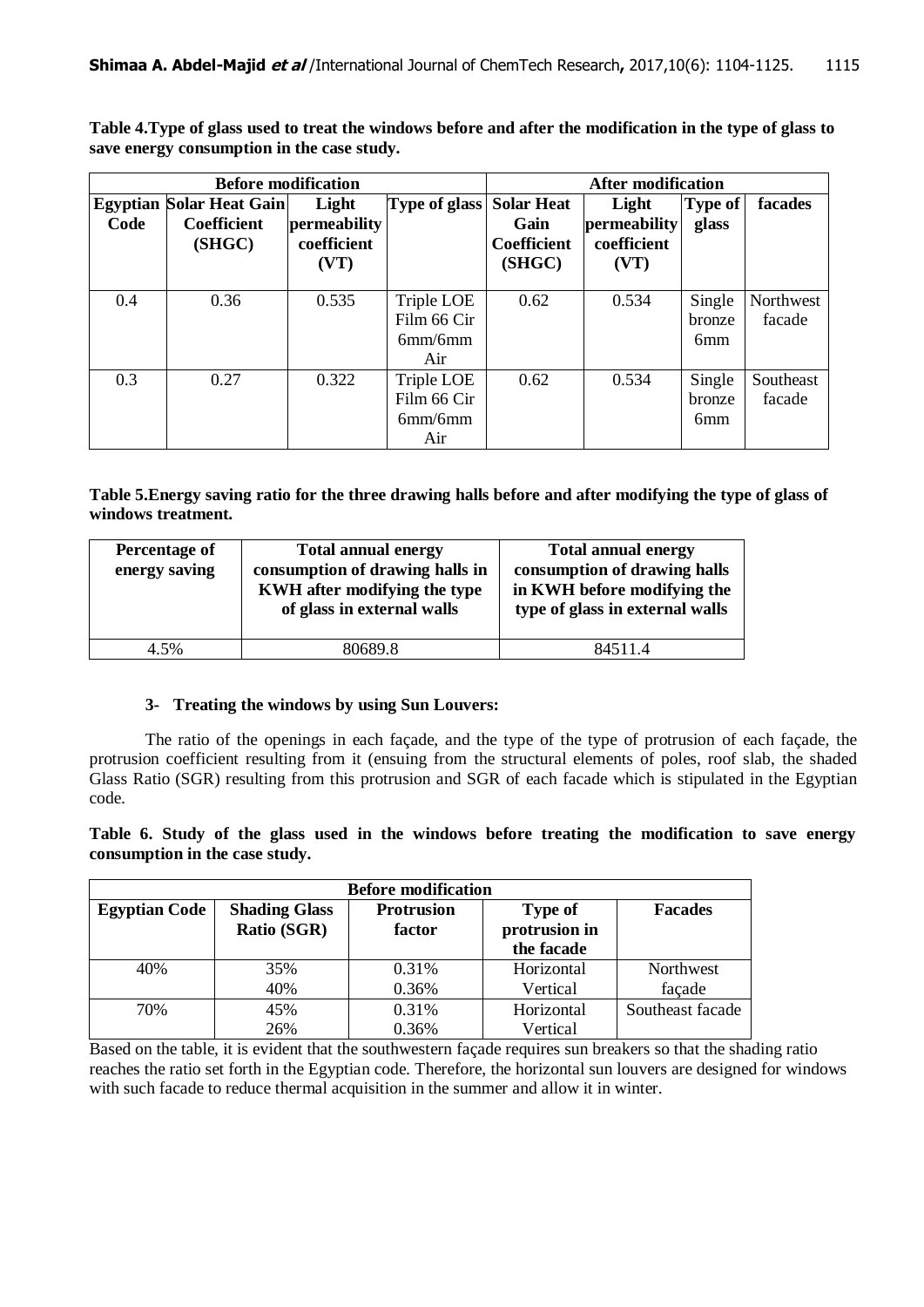**Table 4.Type of glass used to treat the windows before and after the modification in the type of glass to save energy consumption in the case study.**

|      | <b>Before modification</b>      | <b>After modification</b> |                      |                    |              |                 |           |
|------|---------------------------------|---------------------------|----------------------|--------------------|--------------|-----------------|-----------|
|      | <b>Egyptian Solar Heat Gain</b> | Light                     | <b>Type of glass</b> | <b>Solar Heat</b>  | Light        | <b>Type of</b>  | facades   |
| Code | <b>Coefficient</b>              | permeability              |                      | Gain               | permeability | glass           |           |
|      | (SHGC)                          | coefficient               |                      | <b>Coefficient</b> | coefficient  |                 |           |
|      |                                 | (VT)                      |                      | (SHGC)             | (VT)         |                 |           |
|      |                                 |                           |                      |                    |              |                 |           |
| 0.4  | 0.36                            | 0.535                     | Triple LOE           | 0.62               | 0.534        | Single          | Northwest |
|      |                                 |                           | Film 66 Cir          |                    |              | bronze          | facade    |
|      |                                 |                           | 6mm/6mm              |                    |              | 6 <sub>mm</sub> |           |
|      |                                 |                           | Air                  |                    |              |                 |           |
| 0.3  | 0.27                            | 0.322                     | Triple LOE           | 0.62               | 0.534        | Single          | Southeast |
|      |                                 |                           | Film 66 Cir          |                    |              | bronze          | facade    |
|      |                                 |                           | 6mm/6mm              |                    |              | 6 <sub>mm</sub> |           |
|      |                                 |                           | Air                  |                    |              |                 |           |

**Table 5.Energy saving ratio for the three drawing halls before and after modifying the type of glass of windows treatment.**

| Percentage of<br>energy saving | <b>Total annual energy</b><br>consumption of drawing halls in<br>KWH after modifying the type<br>of glass in external walls | <b>Total annual energy</b><br>consumption of drawing halls<br>in KWH before modifying the<br>type of glass in external walls |
|--------------------------------|-----------------------------------------------------------------------------------------------------------------------------|------------------------------------------------------------------------------------------------------------------------------|
| 4.5%                           | 80689.8                                                                                                                     | 84511.4                                                                                                                      |

## **3- Treating the windows by using Sun Louvers:**

The ratio of the openings in each façade, and the type of the type of protrusion of each façade, the protrusion coefficient resulting from it (ensuing from the structural elements of poles, roof slab, the shaded Glass Ratio (SGR) resulting from this protrusion and SGR of each facade which is stipulated in the Egyptian code.

**Table 6. Study of the glass used in the windows before treating the modification to save energy consumption in the case study.**

| <b>Before modification</b> |                                            |                             |                                               |                  |  |  |  |  |  |
|----------------------------|--------------------------------------------|-----------------------------|-----------------------------------------------|------------------|--|--|--|--|--|
| <b>Egyptian Code</b>       | <b>Shading Glass</b><br><b>Ratio (SGR)</b> | <b>Protrusion</b><br>factor | <b>Type of</b><br>protrusion in<br>the facade | <b>Facades</b>   |  |  |  |  |  |
| 40%                        | 35%                                        | 0.31\%                      | Horizontal                                    | <b>Northwest</b> |  |  |  |  |  |
|                            | 40%                                        | 0.36%                       | Vertical                                      | façade           |  |  |  |  |  |
| 70%                        | 45%                                        | 0.31%                       | Horizontal                                    | Southeast facade |  |  |  |  |  |
|                            | 26%                                        | 0.36%                       | Vertical                                      |                  |  |  |  |  |  |

Based on the table, it is evident that the southwestern façade requires sun breakers so that the shading ratio reaches the ratio set forth in the Egyptian code. Therefore, the horizontal sun louvers are designed for windows with such facade to reduce thermal acquisition in the summer and allow it in winter.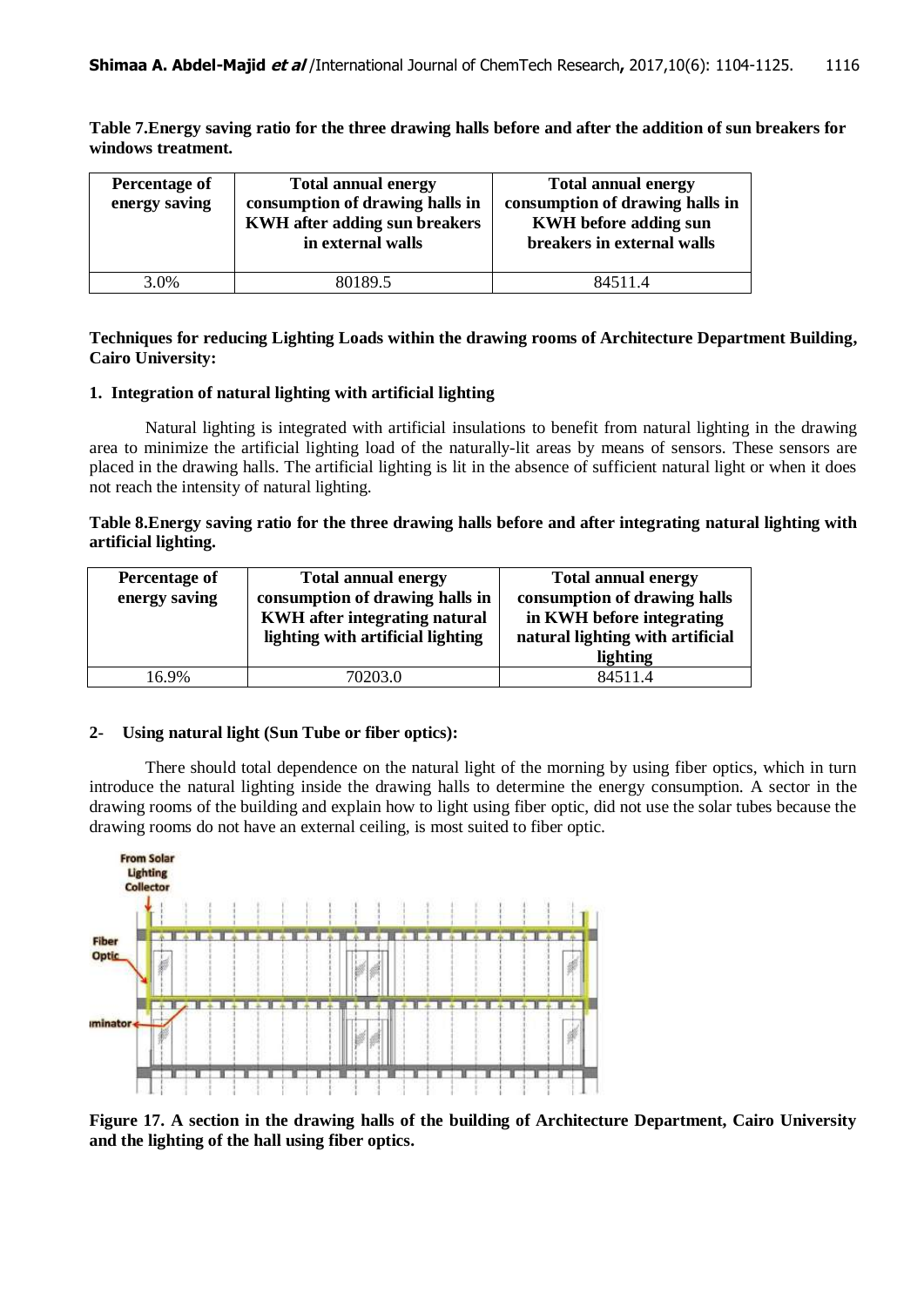**Table 7.Energy saving ratio for the three drawing halls before and after the addition of sun breakers for windows treatment.**

| Percentage of<br>energy saving | <b>Total annual energy</b><br>consumption of drawing halls in<br><b>KWH</b> after adding sun breakers<br>in external walls | <b>Total annual energy</b><br>consumption of drawing halls in<br><b>KWH</b> before adding sun<br>breakers in external walls |
|--------------------------------|----------------------------------------------------------------------------------------------------------------------------|-----------------------------------------------------------------------------------------------------------------------------|
| 3.0%                           | 80189.5                                                                                                                    | 84511.4                                                                                                                     |

## **Techniques for reducing Lighting Loads within the drawing rooms of Architecture Department Building, Cairo University:**

## **1. Integration of natural lighting with artificial lighting**

Natural lighting is integrated with artificial insulations to benefit from natural lighting in the drawing area to minimize the artificial lighting load of the naturally-lit areas by means of sensors. These sensors are placed in the drawing halls. The artificial lighting is lit in the absence of sufficient natural light or when it does not reach the intensity of natural lighting.

## **Table 8.Energy saving ratio for the three drawing halls before and after integrating natural lighting with artificial lighting.**

| Percentage of<br>energy saving | <b>Total annual energy</b><br>consumption of drawing halls in<br>KWH after integrating natural<br>lighting with artificial lighting | <b>Total annual energy</b><br>consumption of drawing halls<br>in KWH before integrating<br>natural lighting with artificial<br>lighting |
|--------------------------------|-------------------------------------------------------------------------------------------------------------------------------------|-----------------------------------------------------------------------------------------------------------------------------------------|
| 16.9%                          | 70203.0                                                                                                                             | 84511.4                                                                                                                                 |

## **2- Using natural light (Sun Tube or fiber optics):**

There should total dependence on the natural light of the morning by using fiber optics, which in turn introduce the natural lighting inside the drawing halls to determine the energy consumption. A sector in the drawing rooms of the building and explain how to light using fiber optic, did not use the solar tubes because the drawing rooms do not have an external ceiling, is most suited to fiber optic.



**Figure 17. A section in the drawing halls of the building of Architecture Department, Cairo University and the lighting of the hall using fiber optics.**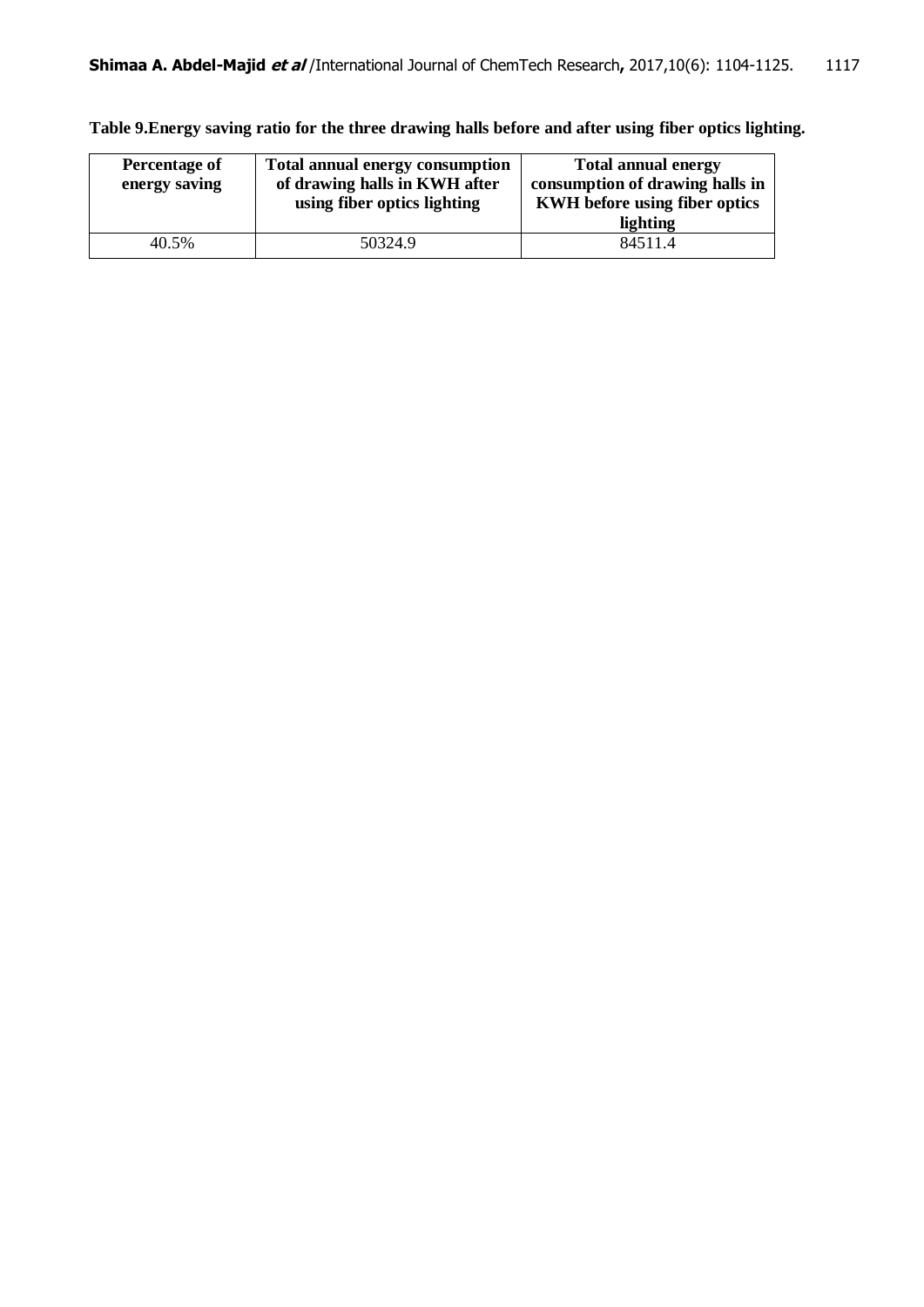**Percentage of energy saving Total annual energy consumption of drawing halls in KWH after using fiber optics lighting Total annual energy consumption of drawing halls in KWH before using fiber optics lighting** 40.5% 50324.9 84511.4

**Table 9.Energy saving ratio for the three drawing halls before and after using fiber optics lighting.**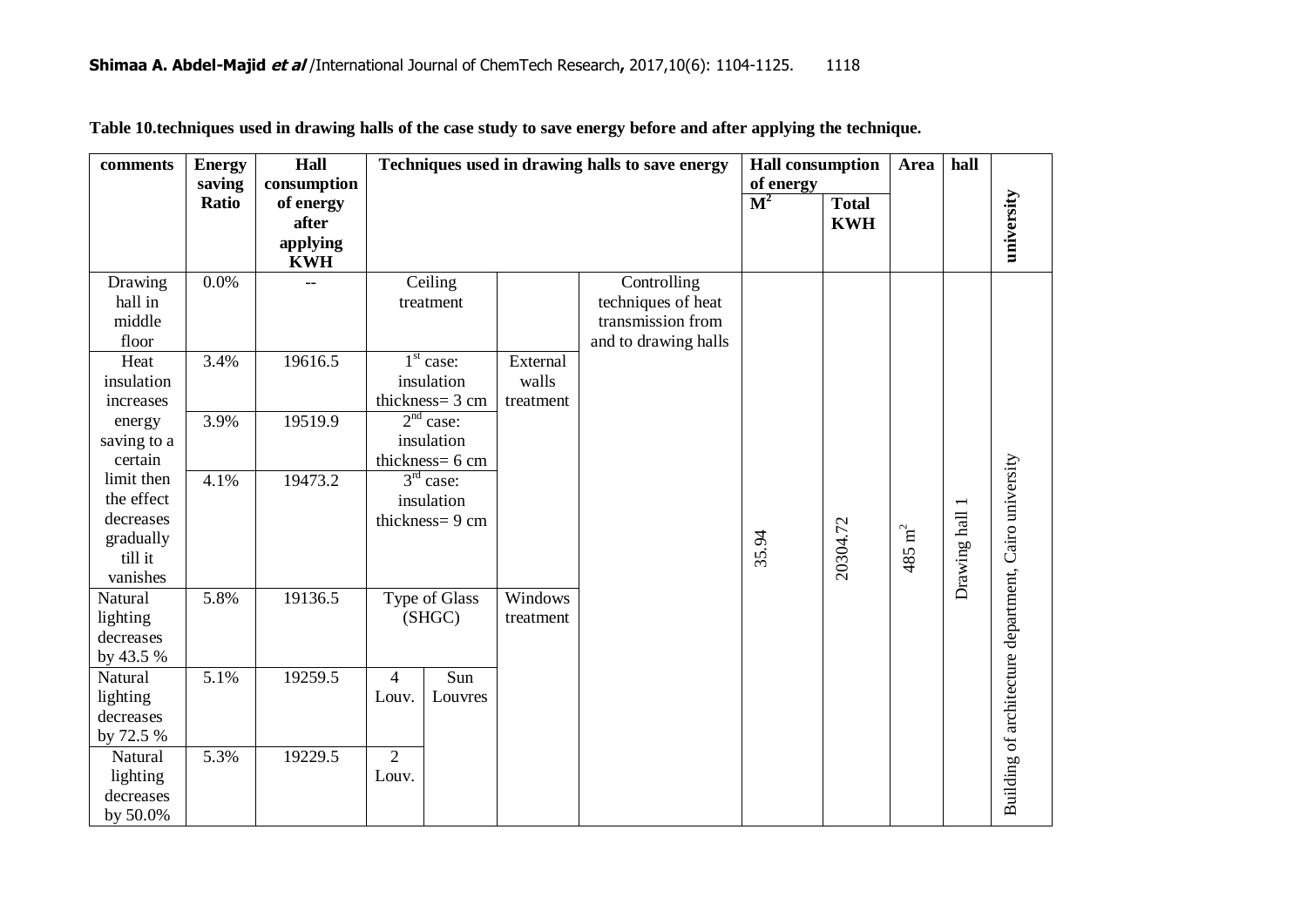| comments           | <b>Energy</b> | Hall        | Techniques used in drawing halls to save energy |                       |           | <b>Hall consumption</b>                 |                | Area         | hall              |                |                                                       |
|--------------------|---------------|-------------|-------------------------------------------------|-----------------------|-----------|-----------------------------------------|----------------|--------------|-------------------|----------------|-------------------------------------------------------|
|                    | saving        | consumption |                                                 |                       |           |                                         | of energy      |              |                   |                |                                                       |
|                    | <b>Ratio</b>  | of energy   |                                                 |                       |           |                                         | $\mathbf{M}^2$ | <b>Total</b> |                   |                |                                                       |
|                    |               | after       |                                                 |                       |           |                                         |                | <b>KWH</b>   |                   |                |                                                       |
|                    |               | applying    |                                                 |                       |           |                                         |                |              |                   |                | university                                            |
|                    | 0.0%          | <b>KWH</b>  |                                                 |                       |           |                                         |                |              |                   |                |                                                       |
| Drawing<br>hall in |               |             |                                                 | Ceiling               |           | Controlling                             |                |              |                   |                |                                                       |
| middle             |               |             |                                                 | treatment             |           | techniques of heat<br>transmission from |                |              |                   |                |                                                       |
|                    |               |             |                                                 |                       |           |                                         |                |              |                   |                |                                                       |
| floor              |               |             |                                                 |                       |           | and to drawing halls                    |                |              |                   |                |                                                       |
| Heat               | 3.4%          | 19616.5     |                                                 | $1st$ case:           | External  |                                         |                |              |                   |                |                                                       |
| insulation         |               |             |                                                 | insulation            | walls     |                                         |                |              |                   |                |                                                       |
| increases          |               |             |                                                 | thickness= 3 cm       | treatment |                                         |                |              |                   |                |                                                       |
| energy             | 3.9%          | 19519.9     |                                                 | 2 <sup>nd</sup> case: |           |                                         |                |              |                   |                |                                                       |
| saving to a        |               |             |                                                 | insulation            |           |                                         |                |              |                   |                |                                                       |
| certain            |               |             |                                                 | thickness= 6 cm       |           |                                         |                |              |                   |                |                                                       |
| limit then         | 4.1%          | 19473.2     |                                                 | $3rd$ case:           |           |                                         |                |              |                   |                |                                                       |
| the effect         |               |             |                                                 | insulation            |           |                                         |                |              |                   |                |                                                       |
| decreases          |               |             |                                                 | thickness=9 cm        |           |                                         |                |              |                   |                |                                                       |
| gradually          |               |             |                                                 |                       |           |                                         | 35.94          | 20304.72     | $485 \text{ m}^2$ |                |                                                       |
| till it            |               |             |                                                 |                       |           |                                         |                |              |                   |                |                                                       |
| vanishes           |               |             |                                                 |                       |           |                                         |                |              |                   | Drawing hall 1 |                                                       |
| Natural            | 5.8%          | 19136.5     |                                                 | <b>Type of Glass</b>  | Windows   |                                         |                |              |                   |                |                                                       |
| lighting           |               |             |                                                 | (SHGC)                | treatment |                                         |                |              |                   |                |                                                       |
| decreases          |               |             |                                                 |                       |           |                                         |                |              |                   |                |                                                       |
| by 43.5 %          |               |             |                                                 |                       |           |                                         |                |              |                   |                |                                                       |
| Natural            | 5.1%          | 19259.5     | $\overline{4}$                                  | Sun                   |           |                                         |                |              |                   |                |                                                       |
| lighting           |               |             | Louv.                                           | Louvres               |           |                                         |                |              |                   |                |                                                       |
| decreases          |               |             |                                                 |                       |           |                                         |                |              |                   |                |                                                       |
| by 72.5 %          |               |             |                                                 |                       |           |                                         |                |              |                   |                |                                                       |
| Natural            | 5.3%          | 19229.5     | $\overline{2}$                                  |                       |           |                                         |                |              |                   |                | Building of architecture department, Cairo university |
| lighting           |               |             | Louv.                                           |                       |           |                                         |                |              |                   |                |                                                       |
| decreases          |               |             |                                                 |                       |           |                                         |                |              |                   |                |                                                       |
| by 50.0%           |               |             |                                                 |                       |           |                                         |                |              |                   |                |                                                       |

**Table 10.techniques used in drawing halls of the case study to save energy before and after applying the technique.**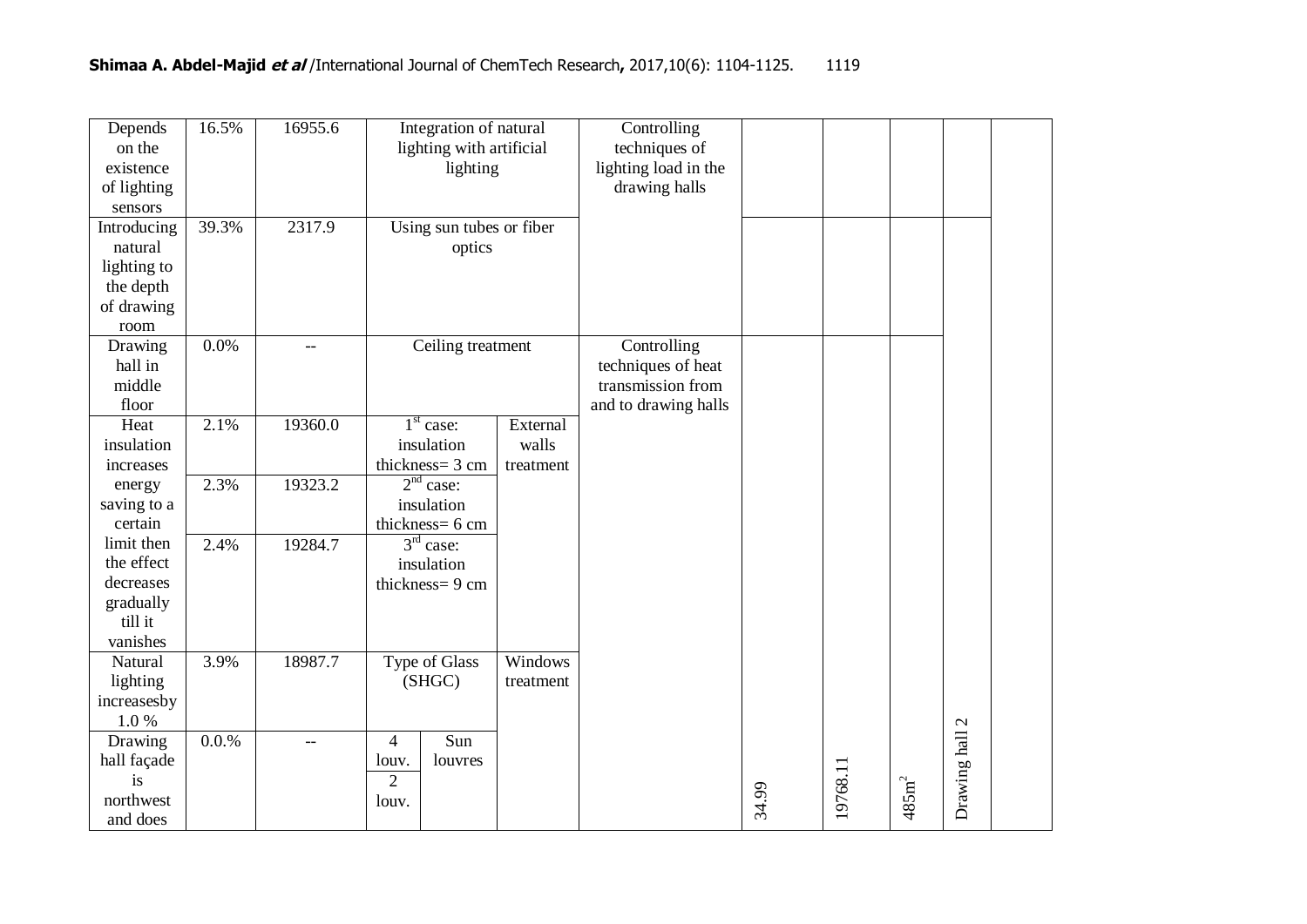| Depends<br>on the<br>existence<br>of lighting<br>sensors                  | 16.5% | 16955.6                  | Integration of natural<br>lighting with artificial<br>lighting       |                                | Controlling<br>techniques of<br>lighting load in the<br>drawing halls          |       |          |                  |                |  |
|---------------------------------------------------------------------------|-------|--------------------------|----------------------------------------------------------------------|--------------------------------|--------------------------------------------------------------------------------|-------|----------|------------------|----------------|--|
| Introducing<br>natural<br>lighting to<br>the depth<br>of drawing<br>room  | 39.3% | 2317.9                   | Using sun tubes or fiber<br>optics                                   |                                |                                                                                |       |          |                  |                |  |
| Drawing<br>hall in<br>middle<br>floor                                     | 0.0%  | $-$                      | Ceiling treatment                                                    |                                | Controlling<br>techniques of heat<br>transmission from<br>and to drawing halls |       |          |                  |                |  |
| Heat<br>insulation<br>increases                                           | 2.1%  | 19360.0                  | $1st$ case:<br>insulation<br>thickness= 3 cm                         | External<br>walls<br>treatment |                                                                                |       |          |                  |                |  |
| energy<br>saving to a<br>certain                                          | 2.3%  | 19323.2                  | $2nd$ case:<br>insulation<br>thickness= 6 cm                         |                                |                                                                                |       |          |                  |                |  |
| limit then<br>the effect<br>decreases<br>gradually<br>till it<br>vanishes | 2.4%  | 19284.7                  | $3rd$ case:<br>insulation<br>thickness=9 cm                          |                                |                                                                                |       |          |                  |                |  |
| Natural<br>lighting<br>increasesby<br>1.0%                                | 3.9%  | 18987.7                  | <b>Type of Glass</b><br>(SHGC)                                       | Windows<br>treatment           |                                                                                |       |          |                  |                |  |
| Drawing<br>hall façade<br>is<br>northwest<br>and does                     | 0.0.% | $\overline{\phantom{a}}$ | Sun<br>$\overline{4}$<br>louvres<br>louv.<br>$\overline{2}$<br>louv. |                                |                                                                                | 34.99 | 19768.11 | $485 \text{m}^2$ | Drawing hall 2 |  |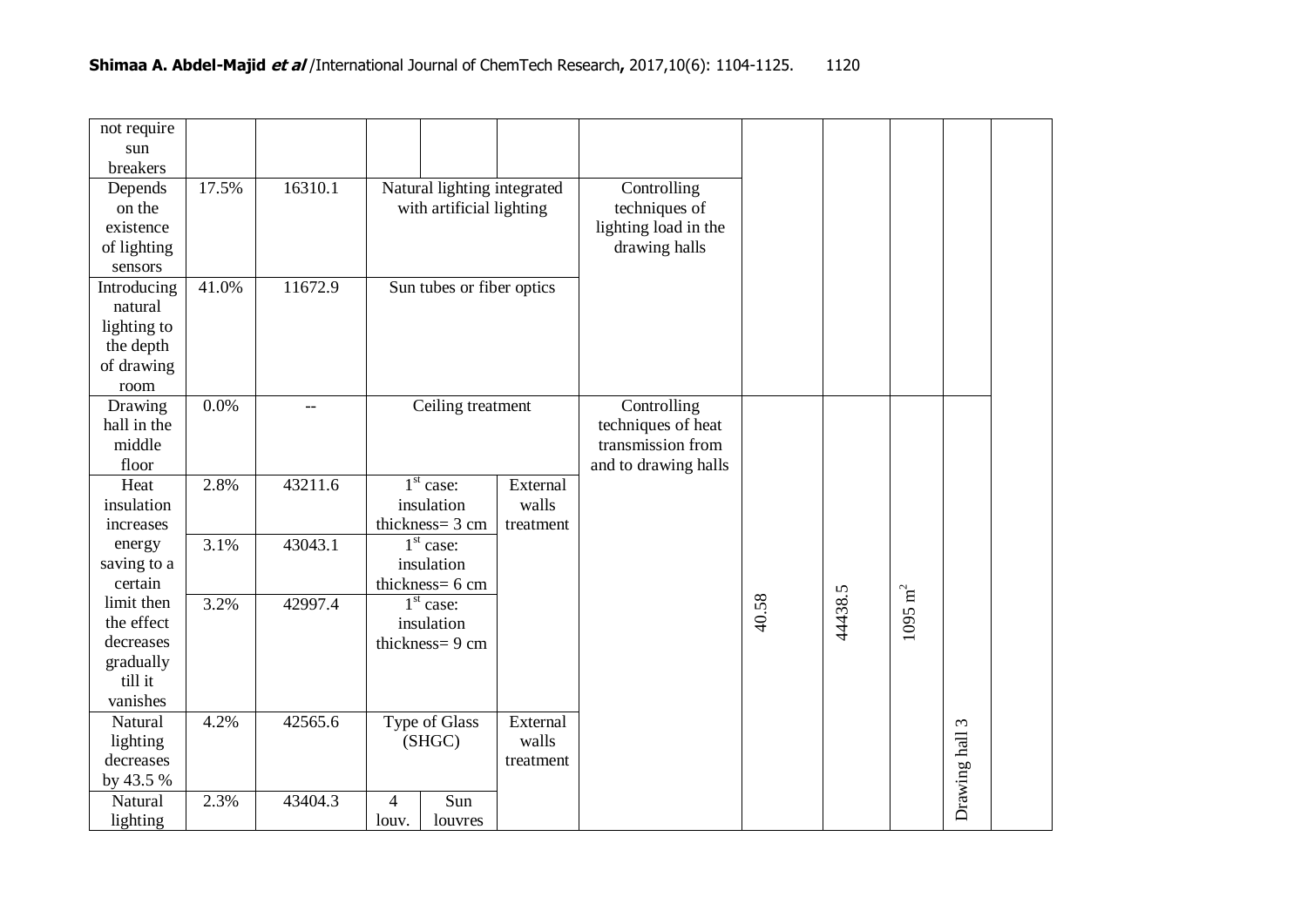| not require<br>sun<br>breakers<br>Depends | 17.5% | 16310.1                  |                                                         |                              |               | Controlling          |       |         |                      |              |  |
|-------------------------------------------|-------|--------------------------|---------------------------------------------------------|------------------------------|---------------|----------------------|-------|---------|----------------------|--------------|--|
| on the                                    |       |                          | Natural lighting integrated<br>with artificial lighting |                              | techniques of |                      |       |         |                      |              |  |
| existence                                 |       |                          |                                                         |                              |               | lighting load in the |       |         |                      |              |  |
| of lighting                               |       |                          |                                                         |                              |               | drawing halls        |       |         |                      |              |  |
| sensors                                   |       |                          |                                                         |                              |               |                      |       |         |                      |              |  |
| Introducing                               | 41.0% | 11672.9                  |                                                         | Sun tubes or fiber optics    |               |                      |       |         |                      |              |  |
| natural                                   |       |                          |                                                         |                              |               |                      |       |         |                      |              |  |
| lighting to                               |       |                          |                                                         |                              |               |                      |       |         |                      |              |  |
| the depth<br>of drawing                   |       |                          |                                                         |                              |               |                      |       |         |                      |              |  |
| room                                      |       |                          |                                                         |                              |               |                      |       |         |                      |              |  |
| Drawing                                   | 0.0%  | $\overline{\phantom{a}}$ |                                                         | Ceiling treatment            |               | Controlling          |       |         |                      |              |  |
| hall in the                               |       |                          |                                                         |                              |               | techniques of heat   |       |         |                      |              |  |
| middle                                    |       |                          |                                                         |                              |               | transmission from    |       |         |                      |              |  |
| floor                                     |       |                          |                                                         |                              |               | and to drawing halls |       |         |                      |              |  |
| Heat                                      | 2.8%  | 43211.6                  |                                                         | $1st$ case:                  | External      |                      |       |         |                      |              |  |
| insulation                                |       |                          |                                                         | insulation                   | walls         |                      |       |         |                      |              |  |
| increases                                 |       |                          |                                                         | thickness= 3 cm              | treatment     |                      |       |         |                      |              |  |
| energy                                    | 3.1%  | 43043.1                  |                                                         | $1st$ case:                  |               |                      |       |         |                      |              |  |
| saving to a                               |       |                          |                                                         | insulation                   |               |                      |       |         |                      |              |  |
| certain                                   |       |                          |                                                         | thickness= 6 cm              |               |                      |       |         | $1095\ \mathrm{m}^2$ |              |  |
| limit then                                | 3.2%  | 42997.4                  |                                                         | $1st$ case:                  |               |                      | 40.58 | 44438.5 |                      |              |  |
| the effect<br>decreases                   |       |                          |                                                         | insulation<br>thickness=9 cm |               |                      |       |         |                      |              |  |
| gradually                                 |       |                          |                                                         |                              |               |                      |       |         |                      |              |  |
| till it                                   |       |                          |                                                         |                              |               |                      |       |         |                      |              |  |
| vanishes                                  |       |                          |                                                         |                              |               |                      |       |         |                      |              |  |
| Natural                                   | 4.2%  | 42565.6                  |                                                         | Type of Glass                | External      |                      |       |         |                      | $\epsilon$   |  |
| lighting                                  |       |                          |                                                         | (SHGC)                       | walls         |                      |       |         |                      |              |  |
| decreases                                 |       |                          |                                                         |                              | treatment     |                      |       |         |                      |              |  |
| by 43.5 %                                 |       |                          |                                                         |                              |               |                      |       |         |                      | Drawing hall |  |
| Natural                                   | 2.3%  | 43404.3                  | $\overline{4}$                                          | Sun                          |               |                      |       |         |                      |              |  |
| lighting                                  |       |                          | louv.                                                   | louvres                      |               |                      |       |         |                      |              |  |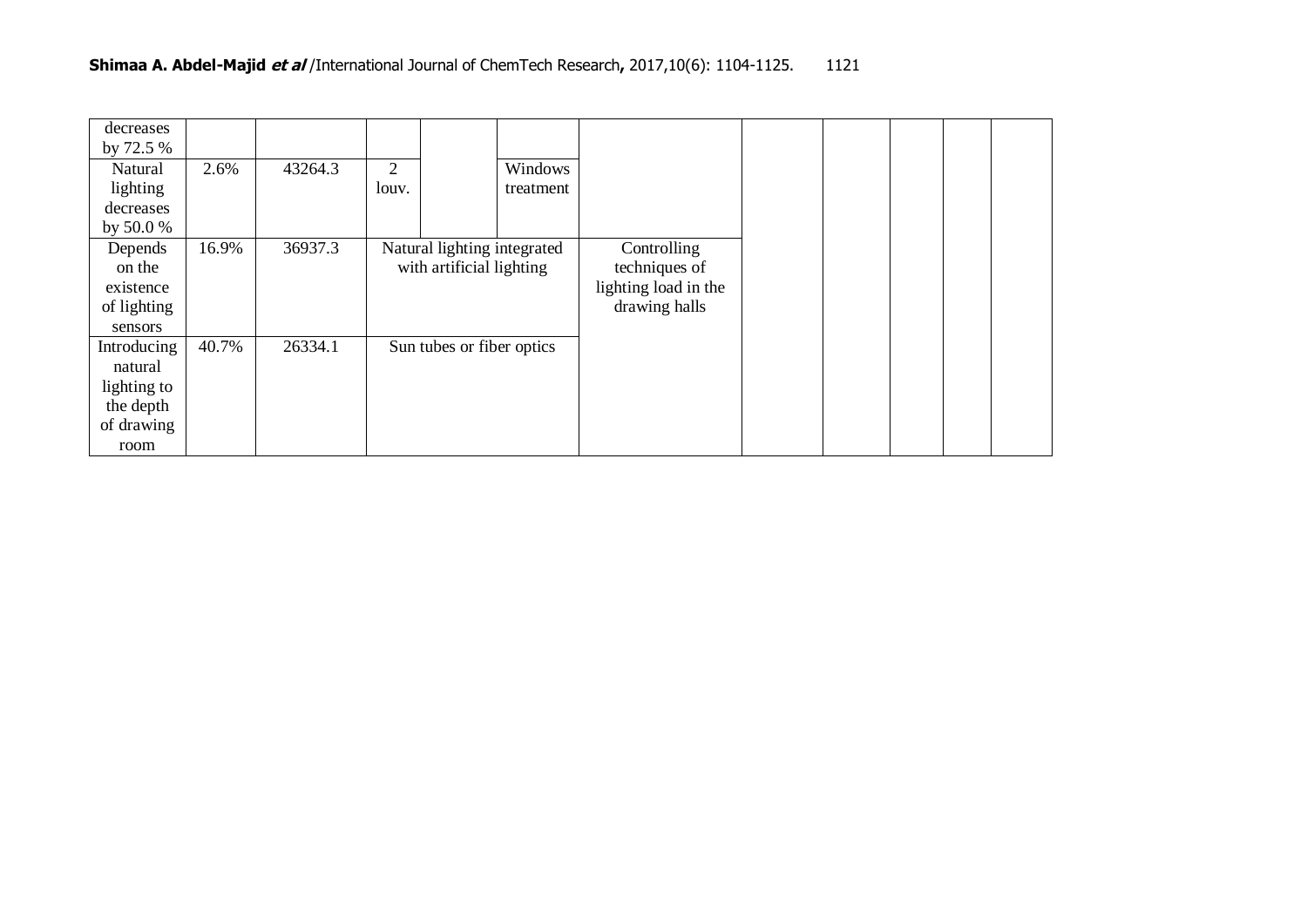| decreases   |       |         |       |                             |           |                      |  |
|-------------|-------|---------|-------|-----------------------------|-----------|----------------------|--|
| by 72.5 %   |       |         |       |                             |           |                      |  |
| Natural     | 2.6%  | 43264.3 | 2     |                             | Windows   |                      |  |
| lighting    |       |         | louv. |                             | treatment |                      |  |
| decreases   |       |         |       |                             |           |                      |  |
| by 50.0 $%$ |       |         |       |                             |           |                      |  |
| Depends     | 16.9% | 36937.3 |       | Natural lighting integrated |           | Controlling          |  |
| on the      |       |         |       | with artificial lighting    |           | techniques of        |  |
| existence   |       |         |       |                             |           | lighting load in the |  |
| of lighting |       |         |       |                             |           | drawing halls        |  |
| sensors     |       |         |       |                             |           |                      |  |
| Introducing | 40.7% | 26334.1 |       | Sun tubes or fiber optics   |           |                      |  |
| natural     |       |         |       |                             |           |                      |  |
| lighting to |       |         |       |                             |           |                      |  |
| the depth   |       |         |       |                             |           |                      |  |
| of drawing  |       |         |       |                             |           |                      |  |
| room        |       |         |       |                             |           |                      |  |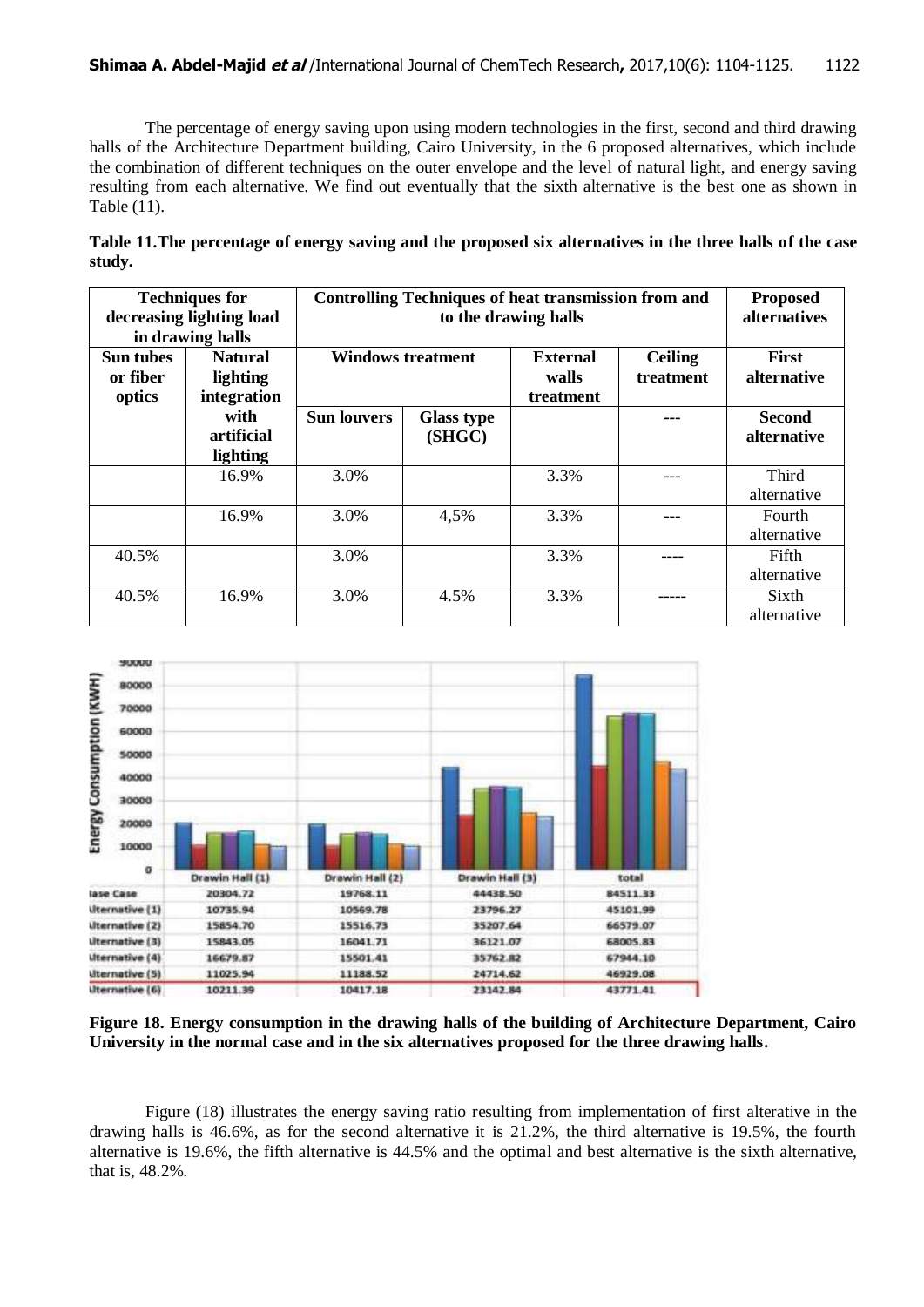The percentage of energy saving upon using modern technologies in the first, second and third drawing halls of the Architecture Department building, Cairo University, in the 6 proposed alternatives, which include the combination of different techniques on the outer envelope and the level of natural light, and energy saving resulting from each alternative. We find out eventually that the sixth alternative is the best one as shown in Table (11).

**Table 11.The percentage of energy saving and the proposed six alternatives in the three halls of the case study.**

|                                        | <b>Techniques for</b><br>decreasing lighting load<br>in drawing halls | <b>Controlling Techniques of heat transmission from and</b> | <b>Proposed</b><br><i>alternatives</i> |                                                                      |  |                              |
|----------------------------------------|-----------------------------------------------------------------------|-------------------------------------------------------------|----------------------------------------|----------------------------------------------------------------------|--|------------------------------|
| <b>Sun tubes</b><br>or fiber<br>optics | <b>Natural</b><br>lighting<br>integration                             | <b>Windows treatment</b>                                    |                                        | <b>External</b><br><b>Ceiling</b><br>treatment<br>walls<br>treatment |  | First<br>alternative         |
|                                        | with<br>artificial<br>lighting                                        | <b>Sun louvers</b>                                          | <b>Glass type</b><br>(SHGC)            |                                                                      |  | <b>Second</b><br>alternative |
|                                        | 16.9%                                                                 | 3.0%                                                        |                                        | 3.3%                                                                 |  | <b>Third</b><br>alternative  |
|                                        | 16.9%                                                                 | 3.0%                                                        | 4,5%                                   | 3.3%                                                                 |  | Fourth<br>alternative        |
| 40.5%                                  |                                                                       | 3.0%                                                        |                                        | 3.3%                                                                 |  | Fifth<br>alternative         |
| 40.5%                                  | 16.9%                                                                 | 3.0%                                                        | 4.5%                                   | 3.3%                                                                 |  | Sixth<br>alternative         |



**Figure 18. Energy consumption in the drawing halls of the building of Architecture Department, Cairo University in the normal case and in the six alternatives proposed for the three drawing halls.**

Figure (18) illustrates the energy saving ratio resulting from implementation of first alterative in the drawing halls is 46.6%, as for the second alternative it is 21.2%, the third alternative is 19.5%, the fourth alternative is 19.6%, the fifth alternative is 44.5% and the optimal and best alternative is the sixth alternative, that is, 48.2%.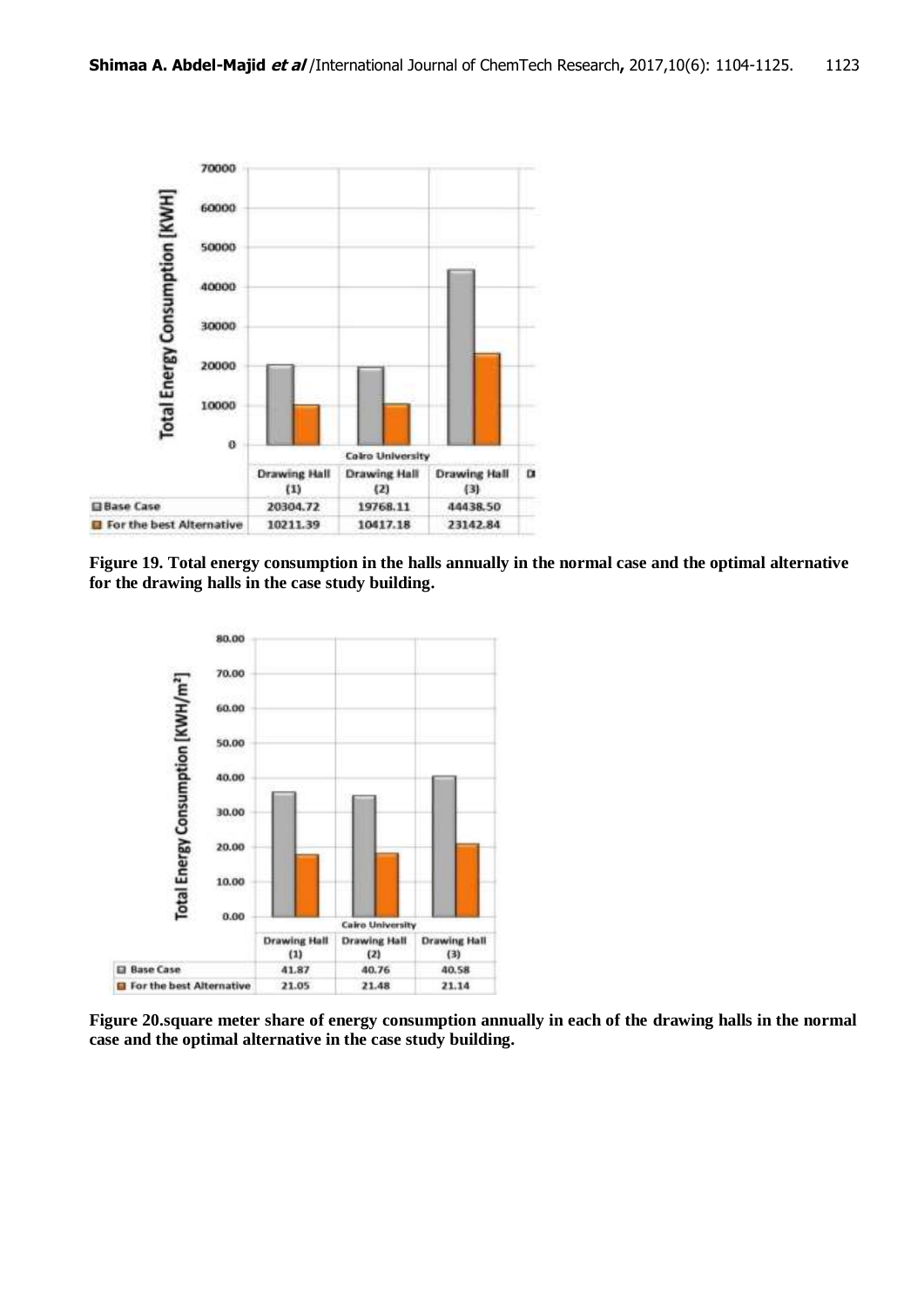

**Figure 19. Total energy consumption in the halls annually in the normal case and the optimal alternative for the drawing halls in the case study building.**



**Figure 20.square meter share of energy consumption annually in each of the drawing halls in the normal case and the optimal alternative in the case study building.**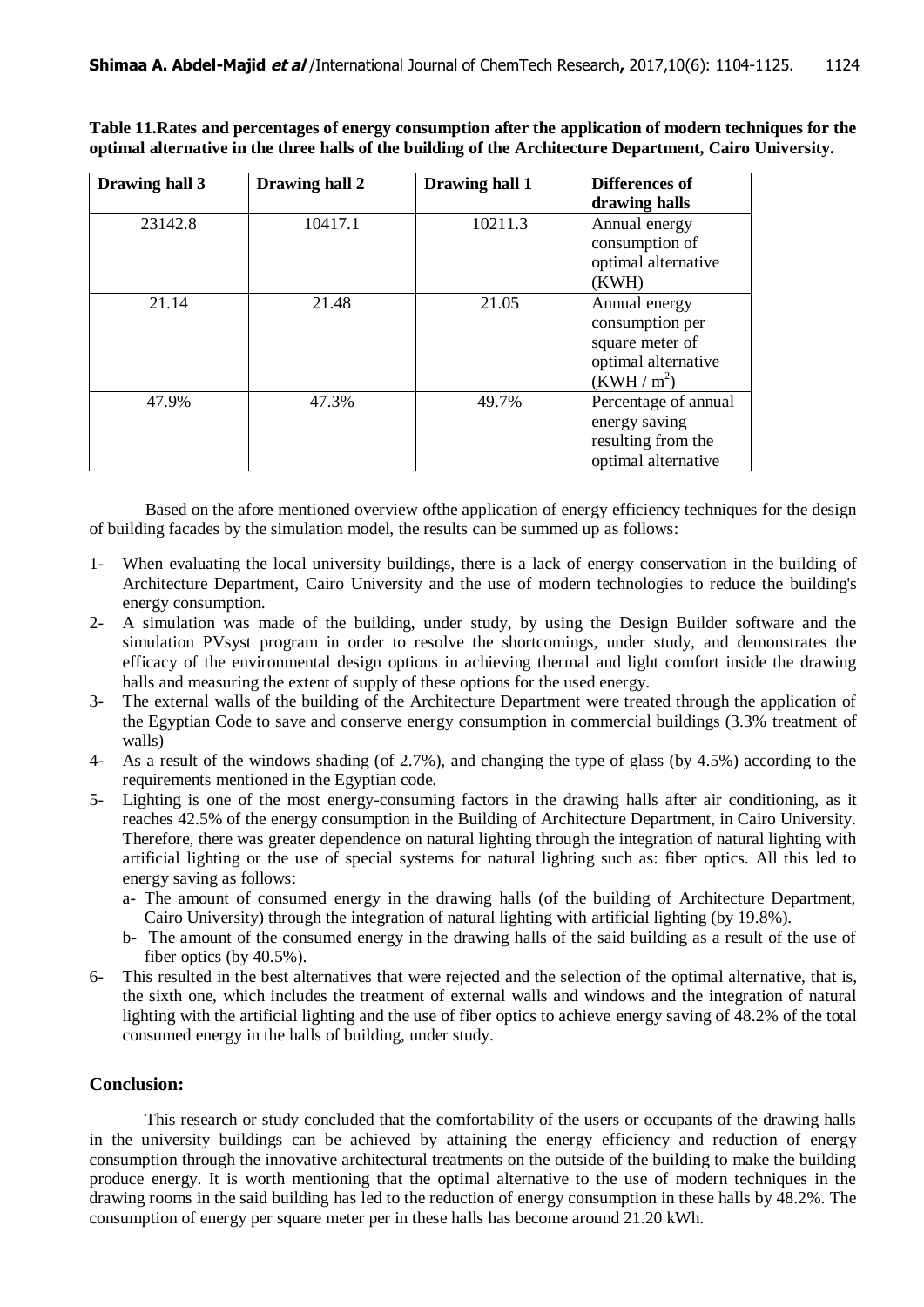**Table 11.Rates and percentages of energy consumption after the application of modern techniques for the optimal alternative in the three halls of the building of the Architecture Department, Cairo University.**

| Drawing hall 3 | Drawing hall 2 | Drawing hall 1 | Differences of<br>drawing halls                                                             |
|----------------|----------------|----------------|---------------------------------------------------------------------------------------------|
| 23142.8        | 10417.1        | 10211.3        | Annual energy<br>consumption of<br>optimal alternative<br>(KWH)                             |
| 21.14          | 21.48          | 21.05          | Annual energy<br>consumption per<br>square meter of<br>optimal alternative<br>$(KWH / m^2)$ |
| 47.9%          | 47.3%          | 49.7%          | Percentage of annual<br>energy saving<br>resulting from the<br>optimal alternative          |

Based on the afore mentioned overview ofthe application of energy efficiency techniques for the design of building facades by the simulation model, the results can be summed up as follows:

- 1- When evaluating the local university buildings, there is a lack of energy conservation in the building of Architecture Department, Cairo University and the use of modern technologies to reduce the building's energy consumption.
- 2- A simulation was made of the building, under study, by using the Design Builder software and the simulation PVsyst program in order to resolve the shortcomings, under study, and demonstrates the efficacy of the environmental design options in achieving thermal and light comfort inside the drawing halls and measuring the extent of supply of these options for the used energy.
- 3- The external walls of the building of the Architecture Department were treated through the application of the Egyptian Code to save and conserve energy consumption in commercial buildings (3.3% treatment of walls)
- 4- As a result of the windows shading (of 2.7%), and changing the type of glass (by 4.5%) according to the requirements mentioned in the Egyptian code.
- 5- Lighting is one of the most energy-consuming factors in the drawing halls after air conditioning, as it reaches 42.5% of the energy consumption in the Building of Architecture Department, in Cairo University. Therefore, there was greater dependence on natural lighting through the integration of natural lighting with artificial lighting or the use of special systems for natural lighting such as: fiber optics. All this led to energy saving as follows:
	- a- The amount of consumed energy in the drawing halls (of the building of Architecture Department, Cairo University) through the integration of natural lighting with artificial lighting (by 19.8%).
	- b- The amount of the consumed energy in the drawing halls of the said building as a result of the use of fiber optics (by 40.5%).
- 6- This resulted in the best alternatives that were rejected and the selection of the optimal alternative, that is, the sixth one, which includes the treatment of external walls and windows and the integration of natural lighting with the artificial lighting and the use of fiber optics to achieve energy saving of 48.2% of the total consumed energy in the halls of building, under study.

## **Conclusion:**

This research or study concluded that the comfortability of the users or occupants of the drawing halls in the university buildings can be achieved by attaining the energy efficiency and reduction of energy consumption through the innovative architectural treatments on the outside of the building to make the building produce energy. It is worth mentioning that the optimal alternative to the use of modern techniques in the drawing rooms in the said building has led to the reduction of energy consumption in these halls by 48.2%. The consumption of energy per square meter per in these halls has become around 21.20 kWh.